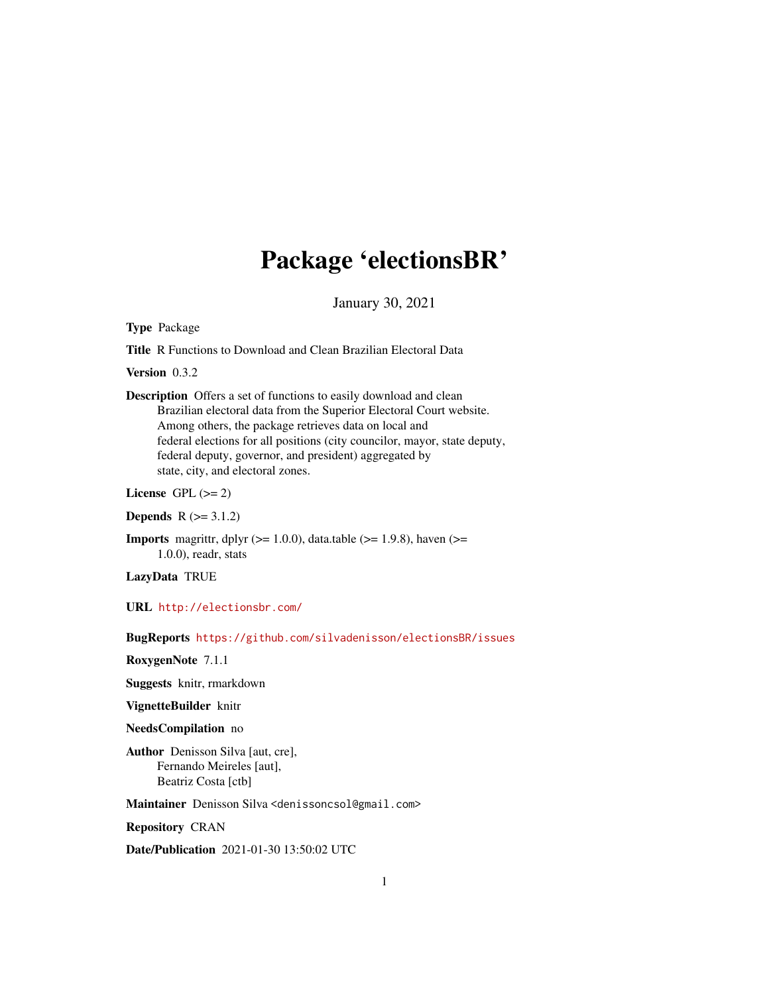## Package 'electionsBR'

January 30, 2021

Type Package

Title R Functions to Download and Clean Brazilian Electoral Data

Version 0.3.2

Description Offers a set of functions to easily download and clean Brazilian electoral data from the Superior Electoral Court website. Among others, the package retrieves data on local and federal elections for all positions (city councilor, mayor, state deputy, federal deputy, governor, and president) aggregated by state, city, and electoral zones.

License GPL  $(>= 2)$ 

**Depends**  $R (= 3.1.2)$ 

**Imports** magnittr, dplyr ( $>= 1.0.0$ ), data.table ( $>= 1.9.8$ ), haven ( $>= 1.9.8$ ) 1.0.0), readr, stats

LazyData TRUE

URL <http://electionsbr.com/>

BugReports <https://github.com/silvadenisson/electionsBR/issues>

RoxygenNote 7.1.1

Suggests knitr, rmarkdown

VignetteBuilder knitr

#### NeedsCompilation no

Author Denisson Silva [aut, cre], Fernando Meireles [aut], Beatriz Costa [ctb]

Maintainer Denisson Silva <denissoncsol@gmail.com>

Repository CRAN

Date/Publication 2021-01-30 13:50:02 UTC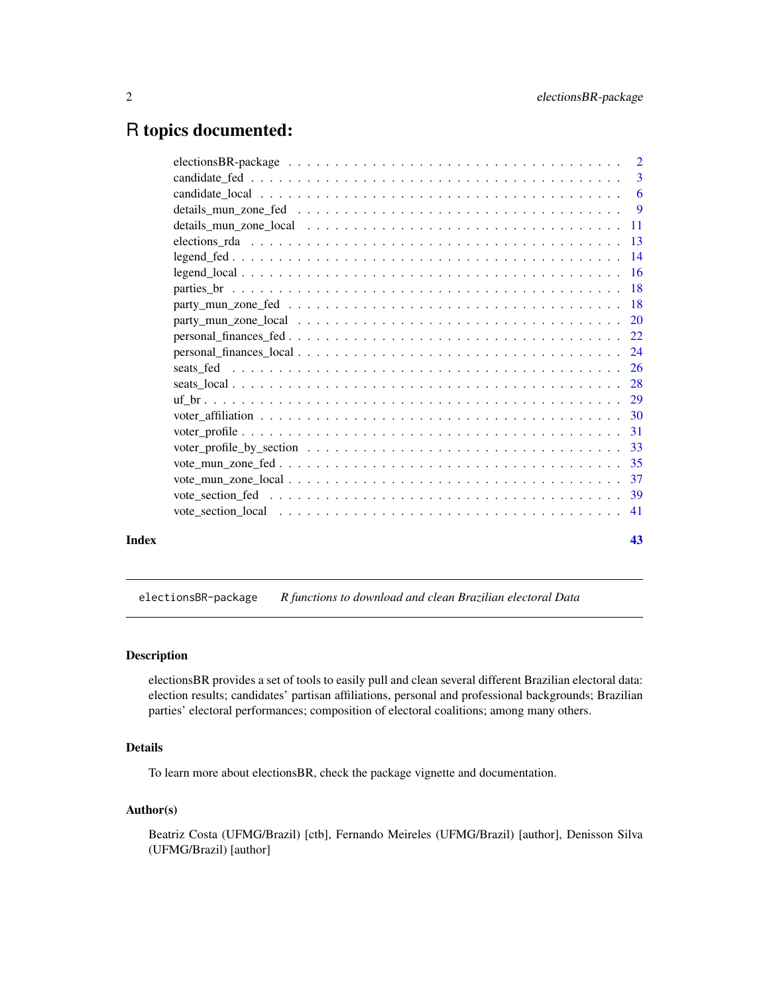## <span id="page-1-0"></span>R topics documented:

|       | voter_profile_by_section $\dots \dots \dots \dots \dots \dots \dots \dots \dots \dots \dots \dots \dots \dots \dots \dots$ 33 |    |
|-------|-------------------------------------------------------------------------------------------------------------------------------|----|
|       |                                                                                                                               |    |
|       |                                                                                                                               |    |
|       |                                                                                                                               |    |
|       |                                                                                                                               |    |
| Index |                                                                                                                               | 43 |

electionsBR-package *R functions to download and clean Brazilian electoral Data*

## Description

electionsBR provides a set of tools to easily pull and clean several different Brazilian electoral data: election results; candidates' partisan affiliations, personal and professional backgrounds; Brazilian parties' electoral performances; composition of electoral coalitions; among many others.

## Details

To learn more about electionsBR, check the package vignette and documentation.

## Author(s)

Beatriz Costa (UFMG/Brazil) [ctb], Fernando Meireles (UFMG/Brazil) [author], Denisson Silva (UFMG/Brazil) [author]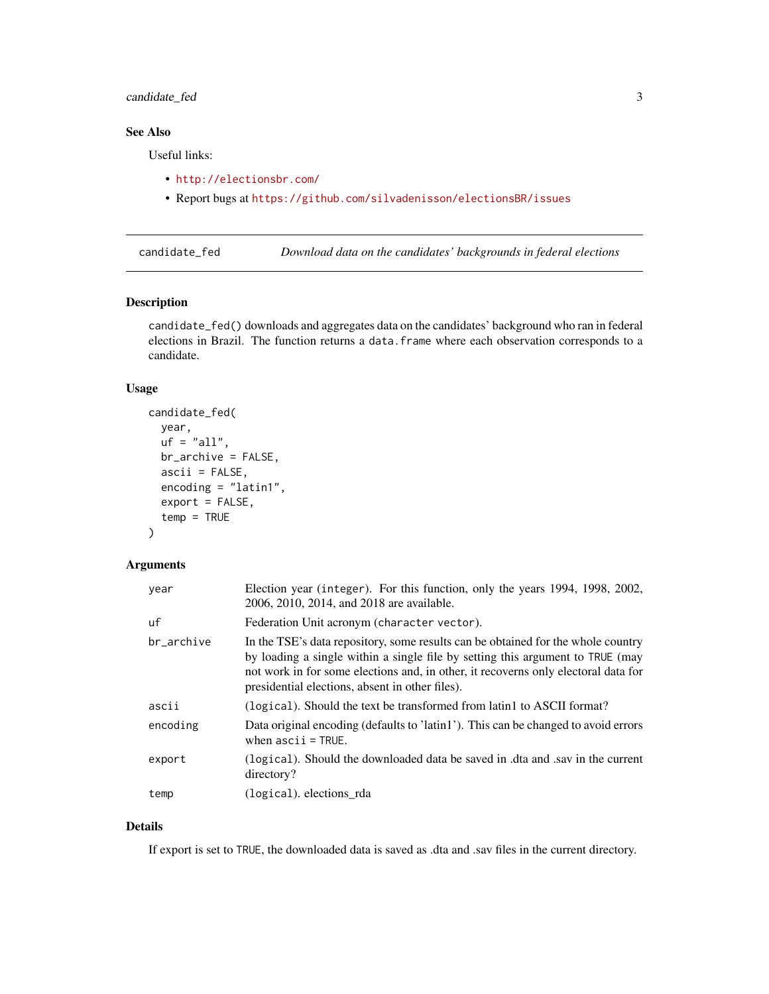## <span id="page-2-0"></span>candidate\_fed 3

## See Also

Useful links:

- <http://electionsbr.com/>
- Report bugs at <https://github.com/silvadenisson/electionsBR/issues>

<span id="page-2-1"></span>candidate\_fed *Download data on the candidates' backgrounds in federal elections*

#### Description

candidate\_fed() downloads and aggregates data on the candidates' background who ran in federal elections in Brazil. The function returns a data.frame where each observation corresponds to a candidate.

## Usage

```
candidate_fed(
 year,
  uf = "all",br_archive = FALSE,
  ascii = FALSE,
  encoding = "latin1",
  export = FALSE,
  temp = TRUE
)
```
## Arguments

| year       | Election year (integer). For this function, only the years 1994, 1998, 2002,<br>2006, 2010, 2014, and 2018 are available.                                                                                                                                                                                  |
|------------|------------------------------------------------------------------------------------------------------------------------------------------------------------------------------------------------------------------------------------------------------------------------------------------------------------|
| uf         | Federation Unit acronym (character vector).                                                                                                                                                                                                                                                                |
| br archive | In the TSE's data repository, some results can be obtained for the whole country<br>by loading a single within a single file by setting this argument to TRUE (may<br>not work in for some elections and, in other, it recovers only electoral data for<br>presidential elections, absent in other files). |
| ascii      | (logical). Should the text be transformed from latin1 to ASCII format?                                                                                                                                                                                                                                     |
| encoding   | Data original encoding (defaults to 'latin1'). This can be changed to avoid errors<br>when $ascii = TRUE$ .                                                                                                                                                                                                |
| export     | (logical). Should the downloaded data be saved in .dta and .sav in the current<br>directory?                                                                                                                                                                                                               |
| temp       | (logical), elections rda                                                                                                                                                                                                                                                                                   |

## Details

If export is set to TRUE, the downloaded data is saved as .dta and .sav files in the current directory.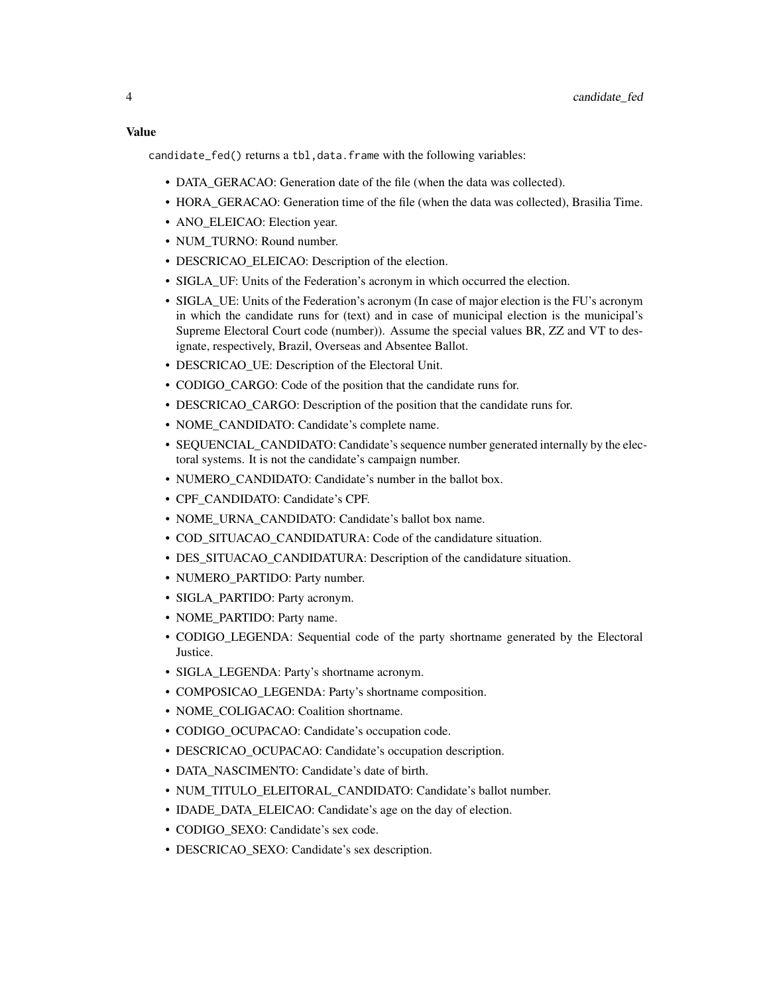## Value

candidate\_fed() returns a tbl,data.frame with the following variables:

- DATA\_GERACAO: Generation date of the file (when the data was collected).
- HORA GERACAO: Generation time of the file (when the data was collected), Brasilia Time.
- ANO\_ELEICAO: Election year.
- NUM\_TURNO: Round number.
- DESCRICAO\_ELEICAO: Description of the election.
- SIGLA UF: Units of the Federation's acronym in which occurred the election.
- SIGLA UE: Units of the Federation's acronym (In case of major election is the FU's acronym in which the candidate runs for (text) and in case of municipal election is the municipal's Supreme Electoral Court code (number)). Assume the special values BR, ZZ and VT to designate, respectively, Brazil, Overseas and Absentee Ballot.
- DESCRICAO\_UE: Description of the Electoral Unit.
- CODIGO\_CARGO: Code of the position that the candidate runs for.
- DESCRICAO\_CARGO: Description of the position that the candidate runs for.
- NOME\_CANDIDATO: Candidate's complete name.
- SEQUENCIAL\_CANDIDATO: Candidate's sequence number generated internally by the electoral systems. It is not the candidate's campaign number.
- NUMERO\_CANDIDATO: Candidate's number in the ballot box.
- CPF\_CANDIDATO: Candidate's CPF.
- NOME\_URNA\_CANDIDATO: Candidate's ballot box name.
- COD\_SITUACAO\_CANDIDATURA: Code of the candidature situation.
- DES\_SITUACAO\_CANDIDATURA: Description of the candidature situation.
- NUMERO\_PARTIDO: Party number.
- SIGLA\_PARTIDO: Party acronym.
- NOME\_PARTIDO: Party name.
- CODIGO\_LEGENDA: Sequential code of the party shortname generated by the Electoral Justice.
- SIGLA LEGENDA: Party's shortname acronym.
- COMPOSICAO LEGENDA: Party's shortname composition.
- NOME\_COLIGACAO: Coalition shortname.
- CODIGO\_OCUPACAO: Candidate's occupation code.
- DESCRICAO\_OCUPACAO: Candidate's occupation description.
- DATA\_NASCIMENTO: Candidate's date of birth.
- NUM\_TITULO\_ELEITORAL\_CANDIDATO: Candidate's ballot number.
- IDADE DATA ELEICAO: Candidate's age on the day of election.
- CODIGO\_SEXO: Candidate's sex code.
- DESCRICAO\_SEXO: Candidate's sex description.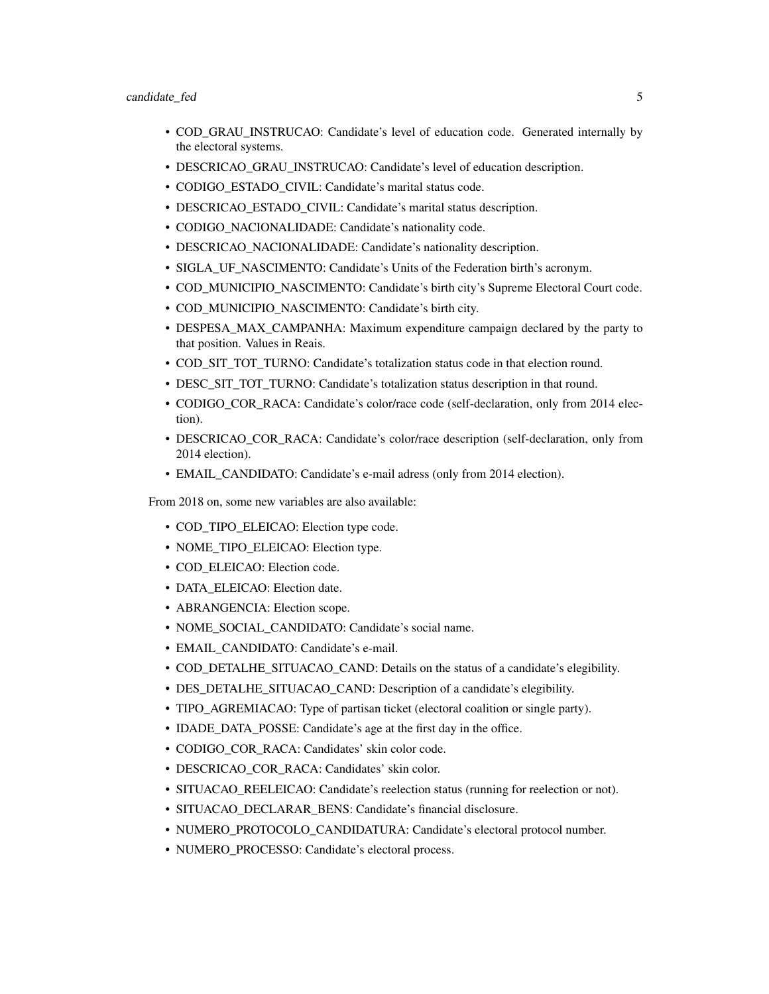- COD\_GRAU\_INSTRUCAO: Candidate's level of education code. Generated internally by the electoral systems.
- DESCRICAO\_GRAU\_INSTRUCAO: Candidate's level of education description.
- CODIGO\_ESTADO\_CIVIL: Candidate's marital status code.
- DESCRICAO\_ESTADO\_CIVIL: Candidate's marital status description.
- CODIGO\_NACIONALIDADE: Candidate's nationality code.
- DESCRICAO\_NACIONALIDADE: Candidate's nationality description.
- SIGLA UF NASCIMENTO: Candidate's Units of the Federation birth's acronym.
- COD\_MUNICIPIO\_NASCIMENTO: Candidate's birth city's Supreme Electoral Court code.
- COD\_MUNICIPIO\_NASCIMENTO: Candidate's birth city.
- DESPESA\_MAX\_CAMPANHA: Maximum expenditure campaign declared by the party to that position. Values in Reais.
- COD\_SIT\_TOT\_TURNO: Candidate's totalization status code in that election round.
- DESC\_SIT\_TOT\_TURNO: Candidate's totalization status description in that round.
- CODIGO COR RACA: Candidate's color/race code (self-declaration, only from 2014 election).
- DESCRICAO\_COR\_RACA: Candidate's color/race description (self-declaration, only from 2014 election).
- EMAIL CANDIDATO: Candidate's e-mail adress (only from 2014 election).

From 2018 on, some new variables are also available:

- COD TIPO ELEICAO: Election type code.
- NOME TIPO ELEICAO: Election type.
- COD\_ELEICAO: Election code.
- DATA\_ELEICAO: Election date.
- ABRANGENCIA: Election scope.
- NOME\_SOCIAL\_CANDIDATO: Candidate's social name.
- EMAIL\_CANDIDATO: Candidate's e-mail.
- COD\_DETALHE\_SITUACAO\_CAND: Details on the status of a candidate's elegibility.
- DES DETALHE SITUACAO CAND: Description of a candidate's elegibility.
- TIPO\_AGREMIACAO: Type of partisan ticket (electoral coalition or single party).
- IDADE\_DATA\_POSSE: Candidate's age at the first day in the office.
- CODIGO\_COR\_RACA: Candidates' skin color code.
- DESCRICAO\_COR\_RACA: Candidates' skin color.
- SITUACAO\_REELEICAO: Candidate's reelection status (running for reelection or not).
- SITUACAO DECLARAR BENS: Candidate's financial disclosure.
- NUMERO\_PROTOCOLO\_CANDIDATURA: Candidate's electoral protocol number.
- NUMERO\_PROCESSO: Candidate's electoral process.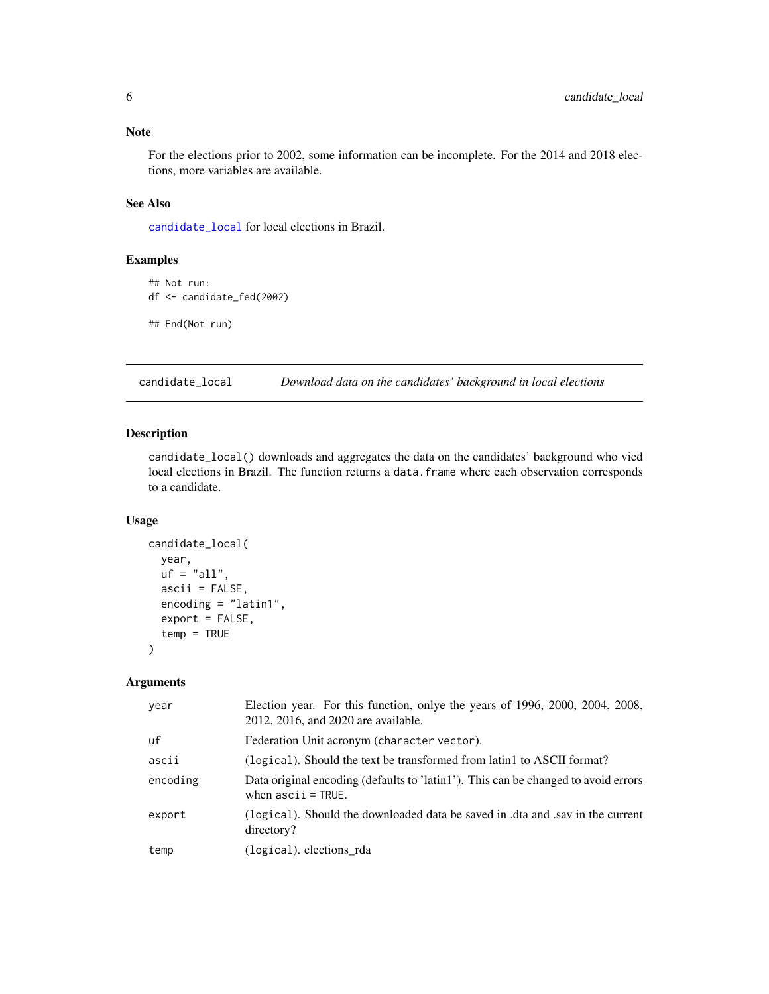<span id="page-5-0"></span>For the elections prior to 2002, some information can be incomplete. For the 2014 and 2018 elections, more variables are available.

## See Also

[candidate\\_local](#page-5-1) for local elections in Brazil.

## Examples

```
## Not run:
df <- candidate_fed(2002)
## End(Not run)
```
<span id="page-5-1"></span>candidate\_local *Download data on the candidates' background in local elections*

## Description

candidate\_local() downloads and aggregates the data on the candidates' background who vied local elections in Brazil. The function returns a data.frame where each observation corresponds to a candidate.

#### Usage

```
candidate_local(
 year,
 uf = "all",ascii = FALSE,encoding = "latin1",
  export = FALSE,temp = TRUE
)
```
## Arguments

| year     | Election year. For this function, onlye the years of 1996, 2000, 2004, 2008,<br>2012, 2016, and 2020 are available. |
|----------|---------------------------------------------------------------------------------------------------------------------|
| uf       | Federation Unit acronym (character vector).                                                                         |
| ascii    | (logical). Should the text be transformed from latin1 to ASCII format?                                              |
| encoding | Data original encoding (defaults to 'latin1'). This can be changed to avoid errors<br>when $ascii = TRUE$ .         |
| export   | (logical). Should the downloaded data be saved in dta and sav in the current<br>directory?                          |
| temp     | (logical). elections_rda                                                                                            |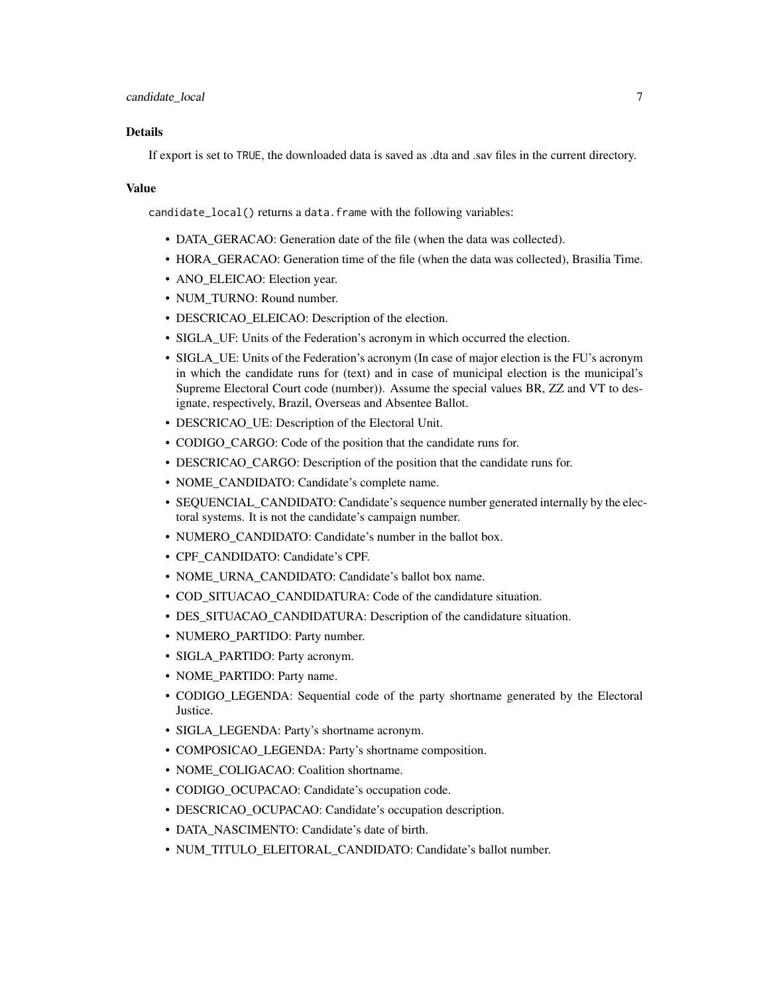#### Details

If export is set to TRUE, the downloaded data is saved as .dta and .sav files in the current directory.

#### Value

candidate\_local() returns a data.frame with the following variables:

- DATA GERACAO: Generation date of the file (when the data was collected).
- HORA\_GERACAO: Generation time of the file (when the data was collected), Brasilia Time.
- ANO\_ELEICAO: Election year.
- NUM\_TURNO: Round number.
- DESCRICAO ELEICAO: Description of the election.
- SIGLA\_UF: Units of the Federation's acronym in which occurred the election.
- SIGLA\_UE: Units of the Federation's acronym (In case of major election is the FU's acronym in which the candidate runs for (text) and in case of municipal election is the municipal's Supreme Electoral Court code (number)). Assume the special values BR, ZZ and VT to designate, respectively, Brazil, Overseas and Absentee Ballot.
- DESCRICAO UE: Description of the Electoral Unit.
- CODIGO CARGO: Code of the position that the candidate runs for.
- DESCRICAO\_CARGO: Description of the position that the candidate runs for.
- NOME\_CANDIDATO: Candidate's complete name.
- SEQUENCIAL\_CANDIDATO: Candidate's sequence number generated internally by the electoral systems. It is not the candidate's campaign number.
- NUMERO\_CANDIDATO: Candidate's number in the ballot box.
- CPF\_CANDIDATO: Candidate's CPF.
- NOME\_URNA\_CANDIDATO: Candidate's ballot box name.
- COD\_SITUACAO\_CANDIDATURA: Code of the candidature situation.
- DES SITUACAO CANDIDATURA: Description of the candidature situation.
- NUMERO PARTIDO: Party number.
- SIGLA\_PARTIDO: Party acronym.
- NOME\_PARTIDO: Party name.
- CODIGO\_LEGENDA: Sequential code of the party shortname generated by the Electoral Justice.
- SIGLA\_LEGENDA: Party's shortname acronym.
- COMPOSICAO\_LEGENDA: Party's shortname composition.
- NOME\_COLIGACAO: Coalition shortname.
- CODIGO\_OCUPACAO: Candidate's occupation code.
- DESCRICAO OCUPACAO: Candidate's occupation description.
- DATA\_NASCIMENTO: Candidate's date of birth.
- NUM\_TITULO\_ELEITORAL\_CANDIDATO: Candidate's ballot number.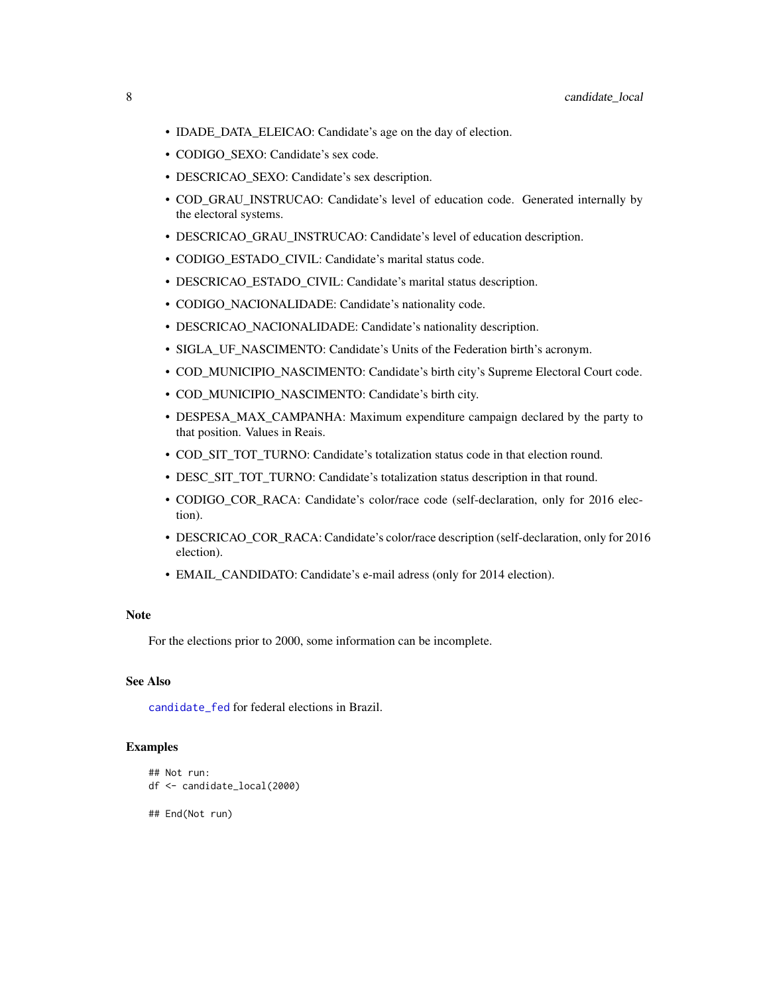- <span id="page-7-0"></span>• IDADE\_DATA\_ELEICAO: Candidate's age on the day of election.
- CODIGO\_SEXO: Candidate's sex code.
- DESCRICAO\_SEXO: Candidate's sex description.
- COD\_GRAU\_INSTRUCAO: Candidate's level of education code. Generated internally by the electoral systems.
- DESCRICAO\_GRAU\_INSTRUCAO: Candidate's level of education description.
- CODIGO\_ESTADO\_CIVIL: Candidate's marital status code.
- DESCRICAO\_ESTADO\_CIVIL: Candidate's marital status description.
- CODIGO\_NACIONALIDADE: Candidate's nationality code.
- DESCRICAO\_NACIONALIDADE: Candidate's nationality description.
- SIGLA\_UF\_NASCIMENTO: Candidate's Units of the Federation birth's acronym.
- COD\_MUNICIPIO\_NASCIMENTO: Candidate's birth city's Supreme Electoral Court code.
- COD\_MUNICIPIO\_NASCIMENTO: Candidate's birth city.
- DESPESA\_MAX\_CAMPANHA: Maximum expenditure campaign declared by the party to that position. Values in Reais.
- COD\_SIT\_TOT\_TURNO: Candidate's totalization status code in that election round.
- DESC\_SIT\_TOT\_TURNO: Candidate's totalization status description in that round.
- CODIGO\_COR\_RACA: Candidate's color/race code (self-declaration, only for 2016 election).
- DESCRICAO\_COR\_RACA: Candidate's color/race description (self-declaration, only for 2016 election).
- EMAIL\_CANDIDATO: Candidate's e-mail adress (only for 2014 election).

For the elections prior to 2000, some information can be incomplete.

## See Also

[candidate\\_fed](#page-2-1) for federal elections in Brazil.

#### Examples

```
## Not run:
df <- candidate_local(2000)
```
## End(Not run)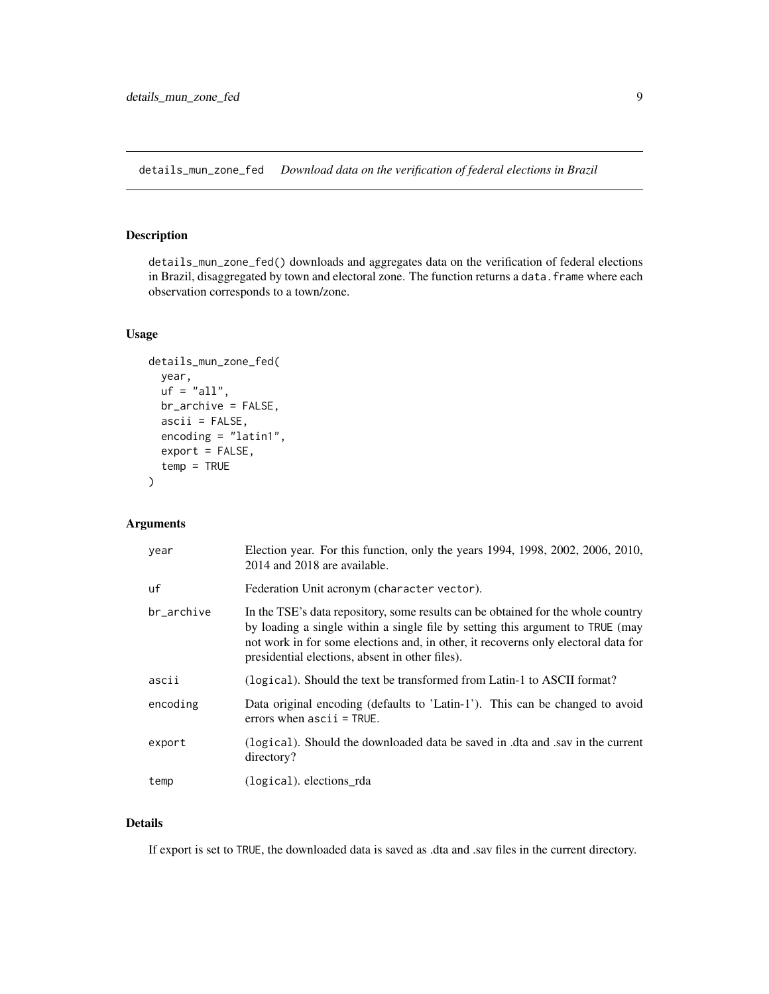<span id="page-8-1"></span><span id="page-8-0"></span>details\_mun\_zone\_fed *Download data on the verification of federal elections in Brazil*

## Description

details\_mun\_zone\_fed() downloads and aggregates data on the verification of federal elections in Brazil, disaggregated by town and electoral zone. The function returns a data. frame where each observation corresponds to a town/zone.

#### Usage

```
details_mun_zone_fed(
 year,
 uf = "all",br_archive = FALSE,
  ascii = FALSE,encoding = "latin1",
 export = FALSE,
  temp = TRUE)
```
## Arguments

| year       | Election year. For this function, only the years 1994, 1998, 2002, 2006, 2010,<br>2014 and 2018 are available.                                                                                                                                                                                             |
|------------|------------------------------------------------------------------------------------------------------------------------------------------------------------------------------------------------------------------------------------------------------------------------------------------------------------|
| uf         | Federation Unit acronym (character vector).                                                                                                                                                                                                                                                                |
| br archive | In the TSE's data repository, some results can be obtained for the whole country<br>by loading a single within a single file by setting this argument to TRUE (may<br>not work in for some elections and, in other, it recovers only electoral data for<br>presidential elections, absent in other files). |
| ascii      | (logical). Should the text be transformed from Latin-1 to ASCII format?                                                                                                                                                                                                                                    |
| encoding   | Data original encoding (defaults to 'Latin-1'). This can be changed to avoid<br>errors when $ascii = TRUE$ .                                                                                                                                                                                               |
| export     | (logical). Should the downloaded data be saved in .dta and .say in the current<br>directory?                                                                                                                                                                                                               |
| temp       | (logical), elections rda                                                                                                                                                                                                                                                                                   |

## Details

If export is set to TRUE, the downloaded data is saved as .dta and .sav files in the current directory.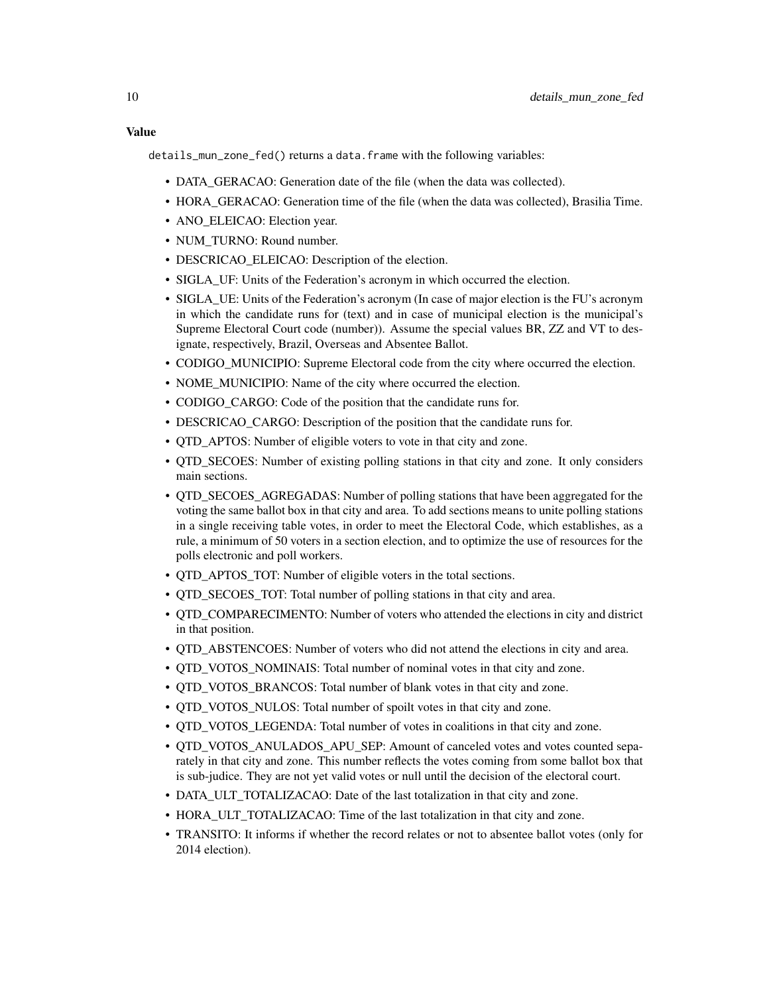#### Value

details\_mun\_zone\_fed() returns a data.frame with the following variables:

- DATA\_GERACAO: Generation date of the file (when the data was collected).
- HORA\_GERACAO: Generation time of the file (when the data was collected), Brasilia Time.
- ANO\_ELEICAO: Election year.
- NUM\_TURNO: Round number.
- DESCRICAO\_ELEICAO: Description of the election.
- SIGLA UF: Units of the Federation's acronym in which occurred the election.
- SIGLA UE: Units of the Federation's acronym (In case of major election is the FU's acronym in which the candidate runs for (text) and in case of municipal election is the municipal's Supreme Electoral Court code (number)). Assume the special values BR, ZZ and VT to designate, respectively, Brazil, Overseas and Absentee Ballot.
- CODIGO\_MUNICIPIO: Supreme Electoral code from the city where occurred the election.
- NOME MUNICIPIO: Name of the city where occurred the election.
- CODIGO CARGO: Code of the position that the candidate runs for.
- DESCRICAO CARGO: Description of the position that the candidate runs for.
- QTD\_APTOS: Number of eligible voters to vote in that city and zone.
- QTD\_SECOES: Number of existing polling stations in that city and zone. It only considers main sections.
- QTD\_SECOES\_AGREGADAS: Number of polling stations that have been aggregated for the voting the same ballot box in that city and area. To add sections means to unite polling stations in a single receiving table votes, in order to meet the Electoral Code, which establishes, as a rule, a minimum of 50 voters in a section election, and to optimize the use of resources for the polls electronic and poll workers.
- OTD APTOS TOT: Number of eligible voters in the total sections.
- QTD\_SECOES\_TOT: Total number of polling stations in that city and area.
- QTD\_COMPARECIMENTO: Number of voters who attended the elections in city and district in that position.
- QTD\_ABSTENCOES: Number of voters who did not attend the elections in city and area.
- QTD\_VOTOS\_NOMINAIS: Total number of nominal votes in that city and zone.
- QTD\_VOTOS\_BRANCOS: Total number of blank votes in that city and zone.
- QTD\_VOTOS\_NULOS: Total number of spoilt votes in that city and zone.
- OTD VOTOS LEGENDA: Total number of votes in coalitions in that city and zone.
- QTD\_VOTOS\_ANULADOS\_APU\_SEP: Amount of canceled votes and votes counted separately in that city and zone. This number reflects the votes coming from some ballot box that is sub-judice. They are not yet valid votes or null until the decision of the electoral court.
- DATA\_ULT\_TOTALIZACAO: Date of the last totalization in that city and zone.
- HORA\_ULT\_TOTALIZACAO: Time of the last totalization in that city and zone.
- TRANSITO: It informs if whether the record relates or not to absentee ballot votes (only for 2014 election).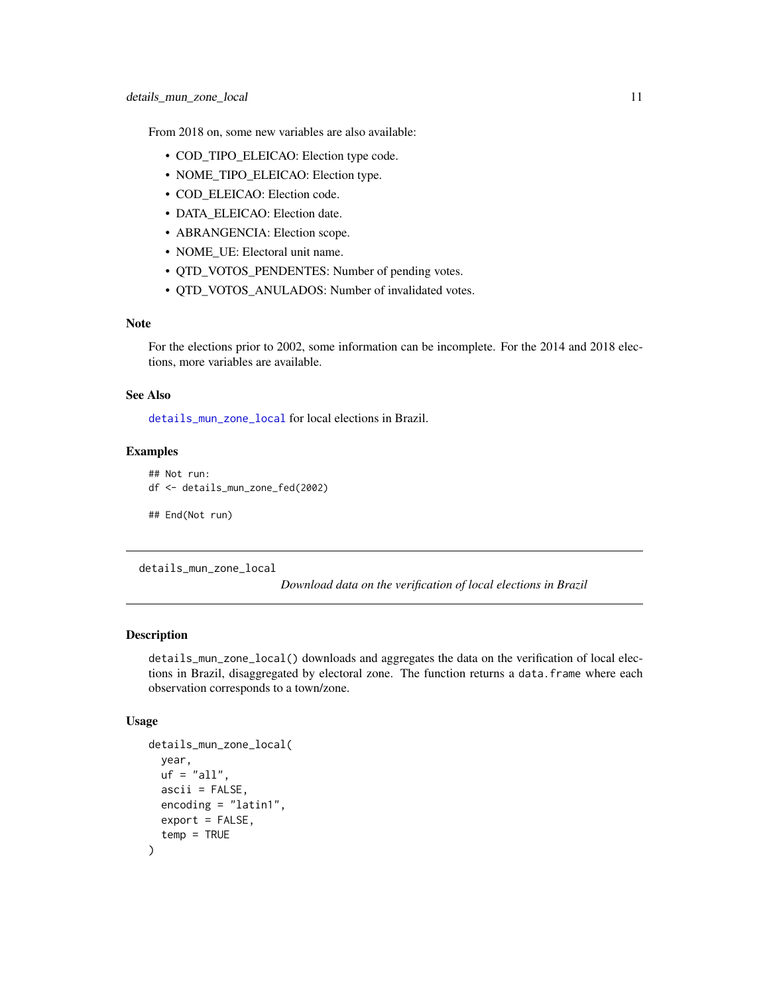<span id="page-10-0"></span>From 2018 on, some new variables are also available:

- COD\_TIPO\_ELEICAO: Election type code.
- NOME\_TIPO\_ELEICAO: Election type.
- COD\_ELEICAO: Election code.
- DATA\_ELEICAO: Election date.
- ABRANGENCIA: Election scope.
- NOME\_UE: Electoral unit name.
- QTD\_VOTOS\_PENDENTES: Number of pending votes.
- QTD\_VOTOS\_ANULADOS: Number of invalidated votes.

## Note

For the elections prior to 2002, some information can be incomplete. For the 2014 and 2018 elections, more variables are available.

## See Also

[details\\_mun\\_zone\\_local](#page-10-1) for local elections in Brazil.

#### Examples

```
## Not run:
df <- details_mun_zone_fed(2002)
## End(Not run)
```
<span id="page-10-1"></span>details\_mun\_zone\_local

*Download data on the verification of local elections in Brazil*

## Description

details\_mun\_zone\_local() downloads and aggregates the data on the verification of local elections in Brazil, disaggregated by electoral zone. The function returns a data.frame where each observation corresponds to a town/zone.

## Usage

```
details_mun_zone_local(
  year,
 uf = "all".ascii = FALSE,
  encoding = "latin1",
  export = FALSE,temp = TRUE
)
```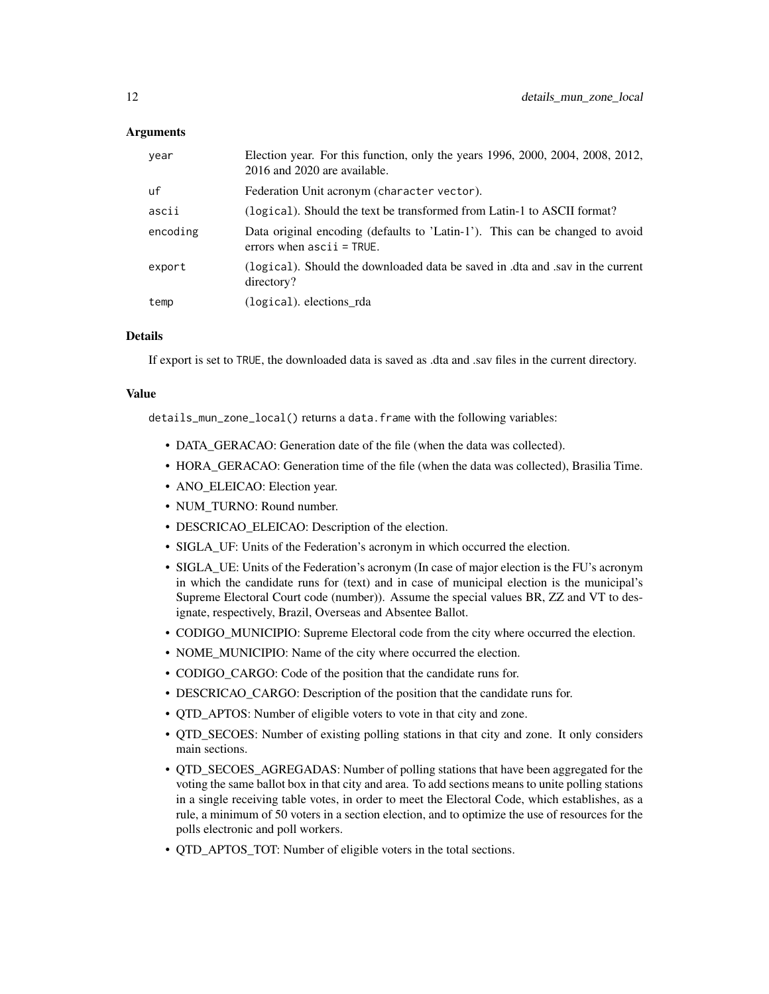## **Arguments**

| year     | Election year. For this function, only the years 1996, 2000, 2004, 2008, 2012,<br>2016 and 2020 are available. |
|----------|----------------------------------------------------------------------------------------------------------------|
| uf       | Federation Unit acronym (character vector).                                                                    |
| ascii    | (logical). Should the text be transformed from Latin-1 to ASCII format?                                        |
| encoding | Data original encoding (defaults to 'Latin-1'). This can be changed to avoid<br>errors when $ascii = TRUE$ .   |
| export   | (logical). Should the downloaded data be saved in .dta and .sav in the current<br>directory?                   |
| temp     | (logical). elections_rda                                                                                       |

## **Details**

If export is set to TRUE, the downloaded data is saved as .dta and .sav files in the current directory.

#### Value

details\_mun\_zone\_local() returns a data.frame with the following variables:

- DATA\_GERACAO: Generation date of the file (when the data was collected).
- HORA\_GERACAO: Generation time of the file (when the data was collected), Brasilia Time.
- ANO\_ELEICAO: Election year.
- NUM\_TURNO: Round number.
- DESCRICAO ELEICAO: Description of the election.
- SIGLA\_UF: Units of the Federation's acronym in which occurred the election.
- SIGLA UE: Units of the Federation's acronym (In case of major election is the FU's acronym in which the candidate runs for (text) and in case of municipal election is the municipal's Supreme Electoral Court code (number)). Assume the special values BR, ZZ and VT to designate, respectively, Brazil, Overseas and Absentee Ballot.
- CODIGO\_MUNICIPIO: Supreme Electoral code from the city where occurred the election.
- NOME MUNICIPIO: Name of the city where occurred the election.
- CODIGO\_CARGO: Code of the position that the candidate runs for.
- DESCRICAO\_CARGO: Description of the position that the candidate runs for.
- QTD\_APTOS: Number of eligible voters to vote in that city and zone.
- QTD\_SECOES: Number of existing polling stations in that city and zone. It only considers main sections.
- QTD\_SECOES\_AGREGADAS: Number of polling stations that have been aggregated for the voting the same ballot box in that city and area. To add sections means to unite polling stations in a single receiving table votes, in order to meet the Electoral Code, which establishes, as a rule, a minimum of 50 voters in a section election, and to optimize the use of resources for the polls electronic and poll workers.
- QTD\_APTOS\_TOT: Number of eligible voters in the total sections.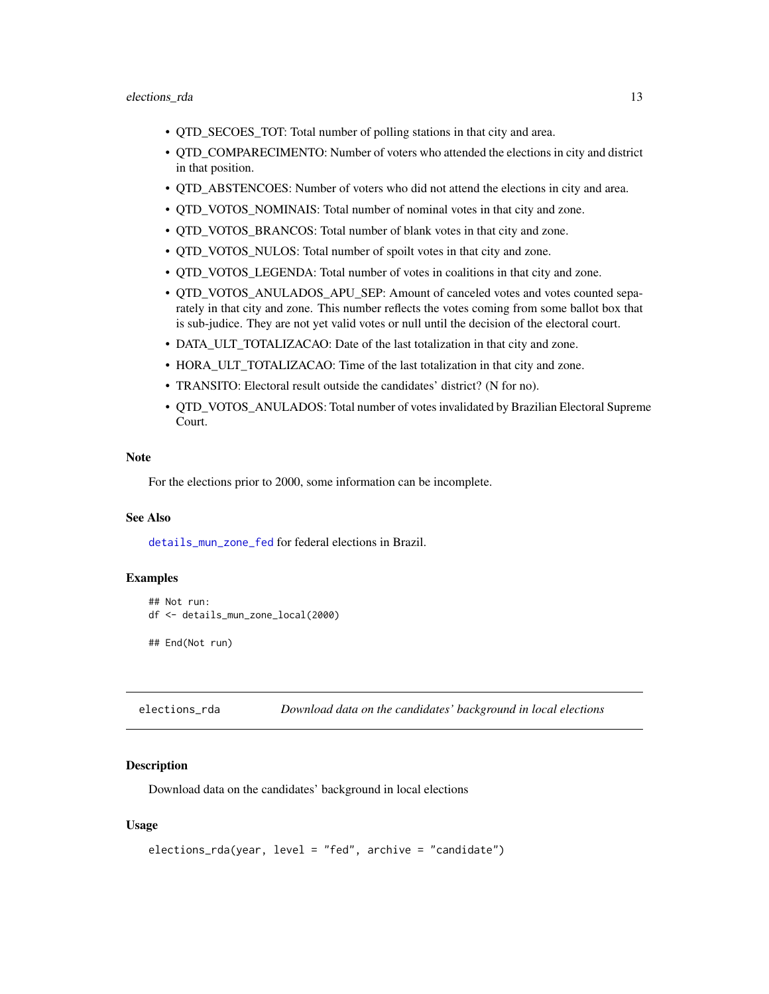- <span id="page-12-0"></span>• QTD\_SECOES\_TOT: Total number of polling stations in that city and area.
- QTD\_COMPARECIMENTO: Number of voters who attended the elections in city and district in that position.
- OTD ABSTENCOES: Number of voters who did not attend the elections in city and area.
- QTD\_VOTOS\_NOMINAIS: Total number of nominal votes in that city and zone.
- OTD VOTOS BRANCOS: Total number of blank votes in that city and zone.
- OTD VOTOS NULOS: Total number of spoilt votes in that city and zone.
- QTD\_VOTOS\_LEGENDA: Total number of votes in coalitions in that city and zone.
- QTD\_VOTOS\_ANULADOS\_APU\_SEP: Amount of canceled votes and votes counted separately in that city and zone. This number reflects the votes coming from some ballot box that is sub-judice. They are not yet valid votes or null until the decision of the electoral court.
- DATA\_ULT\_TOTALIZACAO: Date of the last totalization in that city and zone.
- HORA\_ULT\_TOTALIZACAO: Time of the last totalization in that city and zone.
- TRANSITO: Electoral result outside the candidates' district? (N for no).
- QTD\_VOTOS\_ANULADOS: Total number of votes invalidated by Brazilian Electoral Supreme Court.

For the elections prior to 2000, some information can be incomplete.

## See Also

[details\\_mun\\_zone\\_fed](#page-8-1) for federal elections in Brazil.

#### Examples

```
## Not run:
df <- details_mun_zone_local(2000)
```
## End(Not run)

elections\_rda *Download data on the candidates' background in local elections*

#### Description

Download data on the candidates' background in local elections

#### Usage

```
elections_rda(year, level = "fed", archive = "candidate")
```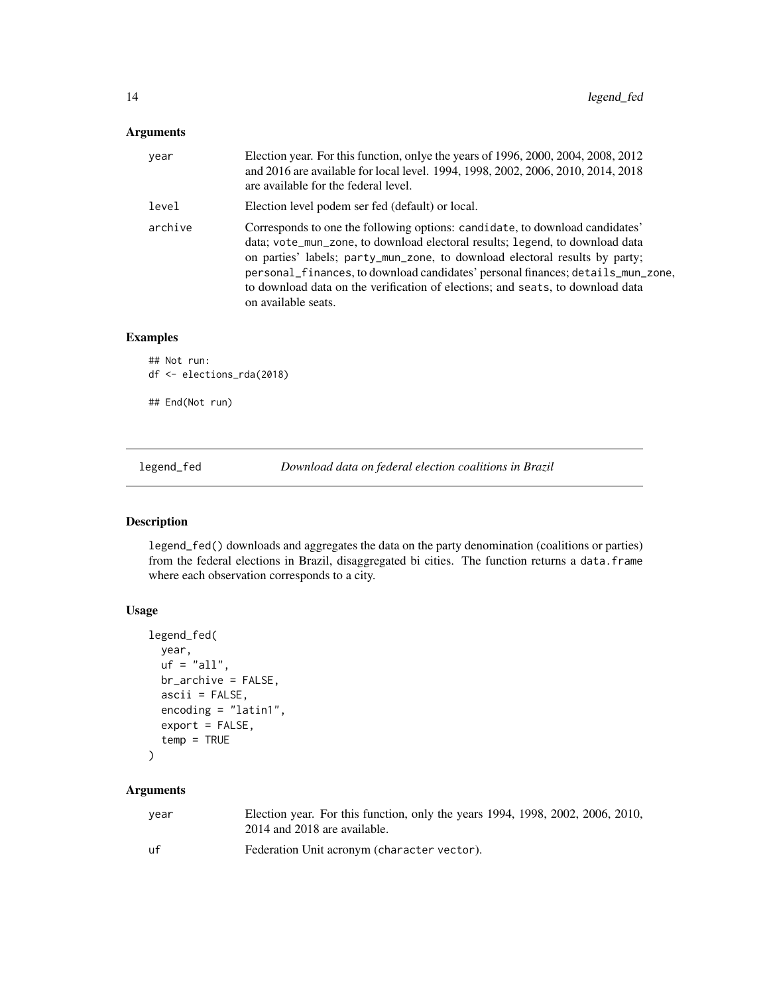## <span id="page-13-0"></span>Arguments

| year    | Election year. For this function, onlye the years of 1996, 2000, 2004, 2008, 2012<br>and 2016 are available for local level. 1994, 1998, 2002, 2006, 2010, 2014, 2018<br>are available for the federal level.                                                                                                                                                                                                                           |
|---------|-----------------------------------------------------------------------------------------------------------------------------------------------------------------------------------------------------------------------------------------------------------------------------------------------------------------------------------------------------------------------------------------------------------------------------------------|
| level   | Election level podem ser fed (default) or local.                                                                                                                                                                                                                                                                                                                                                                                        |
| archive | Corresponds to one the following options: candidate, to download candidates'<br>data; vote_mun_zone, to download electoral results; legend, to download data<br>on parties' labels; party_mun_zone, to download electoral results by party;<br>personal_finances, to download candidates' personal finances; details_mun_zone,<br>to download data on the verification of elections; and seats, to download data<br>on available seats. |

## Examples

```
## Not run:
df <- elections_rda(2018)
## End(Not run)
```
<span id="page-13-1"></span>legend\_fed *Download data on federal election coalitions in Brazil*

## Description

legend\_fed() downloads and aggregates the data on the party denomination (coalitions or parties) from the federal elections in Brazil, disaggregated bi cities. The function returns a data.frame where each observation corresponds to a city.

## Usage

```
legend_fed(
 year,
 uf = "all",br_archive = FALSE,
 ascii = FALSE,encoding = "latin1",
  export = FALSE,temp = TRUE
)
```
## Arguments

| vear | Election year. For this function, only the years 1994, 1998, 2002, 2006, 2010,<br>2014 and 2018 are available. |
|------|----------------------------------------------------------------------------------------------------------------|
| uf   | Federation Unit acronym (character vector).                                                                    |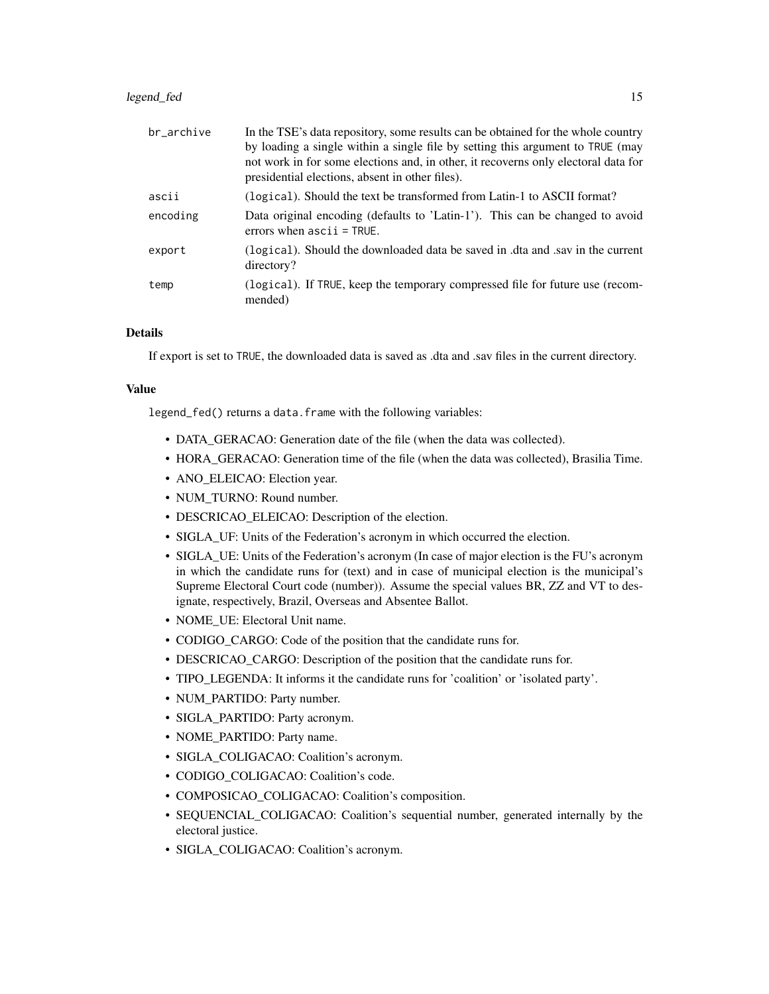## legend\_fed 15

| br_archive | In the TSE's data repository, some results can be obtained for the whole country<br>by loading a single within a single file by setting this argument to TRUE (may<br>not work in for some elections and, in other, it recovers only electoral data for<br>presidential elections, absent in other files). |
|------------|------------------------------------------------------------------------------------------------------------------------------------------------------------------------------------------------------------------------------------------------------------------------------------------------------------|
| ascii      | (logical). Should the text be transformed from Latin-1 to ASCII format?                                                                                                                                                                                                                                    |
| encoding   | Data original encoding (defaults to 'Latin-1'). This can be changed to avoid<br>errors when $ascii = TRUE$ .                                                                                                                                                                                               |
| export     | (logical). Should the downloaded data be saved in .dta and .say in the current<br>directory?                                                                                                                                                                                                               |
| temp       | (logical). If TRUE, keep the temporary compressed file for future use (recom-<br>mended)                                                                                                                                                                                                                   |

## Details

If export is set to TRUE, the downloaded data is saved as .dta and .sav files in the current directory.

#### Value

legend\_fed() returns a data.frame with the following variables:

- DATA\_GERACAO: Generation date of the file (when the data was collected).
- HORA\_GERACAO: Generation time of the file (when the data was collected), Brasilia Time.
- ANO\_ELEICAO: Election year.
- NUM\_TURNO: Round number.
- DESCRICAO\_ELEICAO: Description of the election.
- SIGLA\_UF: Units of the Federation's acronym in which occurred the election.
- SIGLA UE: Units of the Federation's acronym (In case of major election is the FU's acronym in which the candidate runs for (text) and in case of municipal election is the municipal's Supreme Electoral Court code (number)). Assume the special values BR, ZZ and VT to designate, respectively, Brazil, Overseas and Absentee Ballot.
- NOME\_UE: Electoral Unit name.
- CODIGO\_CARGO: Code of the position that the candidate runs for.
- DESCRICAO\_CARGO: Description of the position that the candidate runs for.
- TIPO\_LEGENDA: It informs it the candidate runs for 'coalition' or 'isolated party'.
- NUM\_PARTIDO: Party number.
- SIGLA\_PARTIDO: Party acronym.
- NOME\_PARTIDO: Party name.
- SIGLA\_COLIGACAO: Coalition's acronym.
- CODIGO\_COLIGACAO: Coalition's code.
- COMPOSICAO COLIGACAO: Coalition's composition.
- SEQUENCIAL\_COLIGACAO: Coalition's sequential number, generated internally by the electoral justice.
- SIGLA\_COLIGACAO: Coalition's acronym.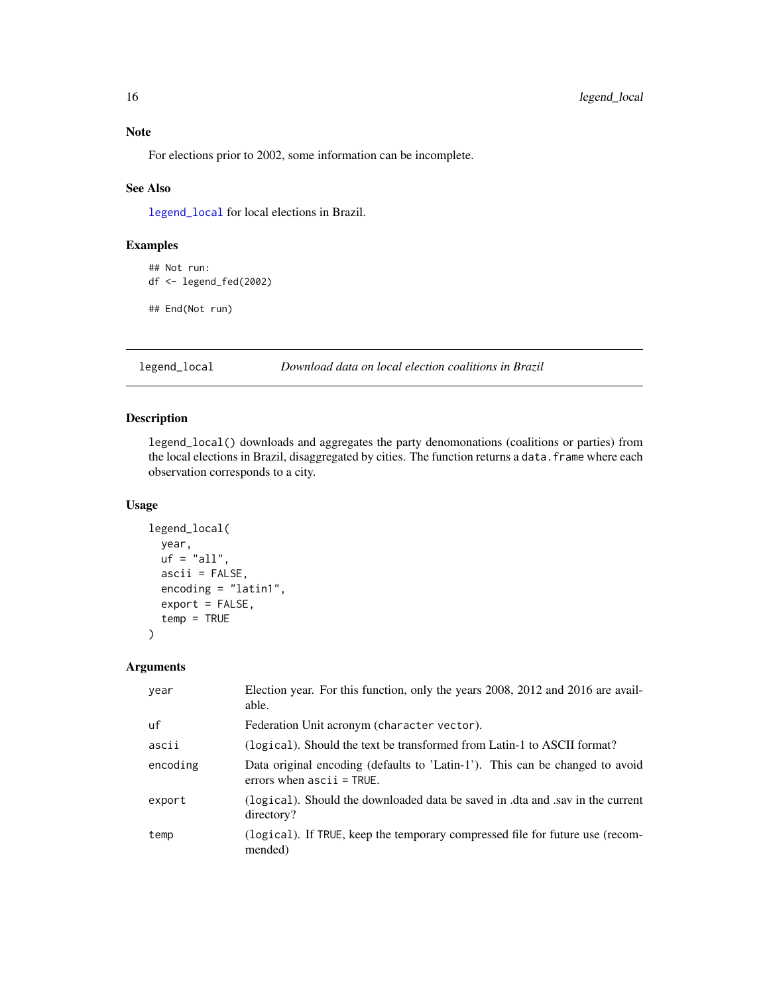<span id="page-15-0"></span>For elections prior to 2002, some information can be incomplete.

## See Also

[legend\\_local](#page-15-1) for local elections in Brazil.

## Examples

```
## Not run:
df <- legend_fed(2002)
## End(Not run)
```
## <span id="page-15-1"></span>legend\_local *Download data on local election coalitions in Brazil*

## Description

legend\_local() downloads and aggregates the party denomonations (coalitions or parties) from the local elections in Brazil, disaggregated by cities. The function returns a data. frame where each observation corresponds to a city.

#### Usage

```
legend_local(
 year,
 uf = "all",ascii = FALSE,
 encoding = "latin1",
 export = FALSE,
  temp = TRUE
)
```
## Arguments

| year     | Election year. For this function, only the years 2008, 2012 and 2016 are avail-<br>able.                     |
|----------|--------------------------------------------------------------------------------------------------------------|
| uf       | Federation Unit acronym (character vector).                                                                  |
| ascii    | (logical). Should the text be transformed from Latin-1 to ASCII format?                                      |
| encoding | Data original encoding (defaults to 'Latin-1'). This can be changed to avoid<br>errors when $ascii = TRUE$ . |
| export   | (logical). Should the downloaded data be saved in dta and sav in the current<br>directory?                   |
| temp     | (logical). If TRUE, keep the temporary compressed file for future use (recom-<br>mended)                     |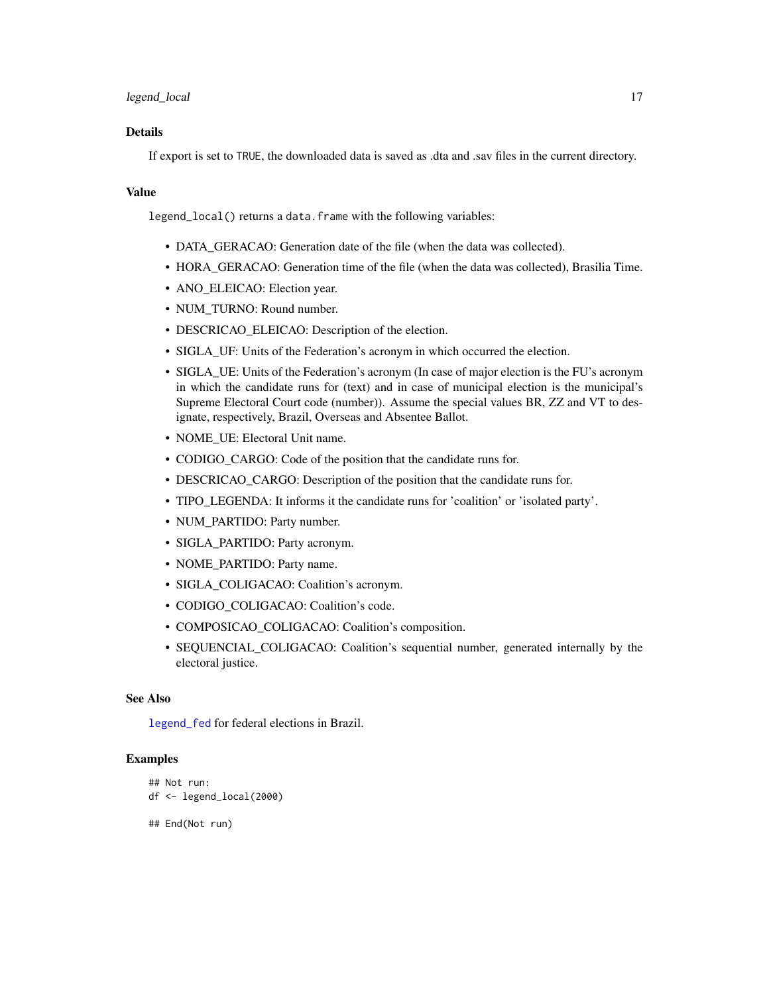## <span id="page-16-0"></span>Details

If export is set to TRUE, the downloaded data is saved as .dta and .sav files in the current directory.

#### Value

legend\_local() returns a data.frame with the following variables:

- DATA\_GERACAO: Generation date of the file (when the data was collected).
- HORA\_GERACAO: Generation time of the file (when the data was collected), Brasilia Time.
- ANO\_ELEICAO: Election year.
- NUM\_TURNO: Round number.
- DESCRICAO\_ELEICAO: Description of the election.
- SIGLA\_UF: Units of the Federation's acronym in which occurred the election.
- SIGLA\_UE: Units of the Federation's acronym (In case of major election is the FU's acronym in which the candidate runs for (text) and in case of municipal election is the municipal's Supreme Electoral Court code (number)). Assume the special values BR, ZZ and VT to designate, respectively, Brazil, Overseas and Absentee Ballot.
- NOME UE: Electoral Unit name.
- CODIGO\_CARGO: Code of the position that the candidate runs for.
- DESCRICAO\_CARGO: Description of the position that the candidate runs for.
- TIPO\_LEGENDA: It informs it the candidate runs for 'coalition' or 'isolated party'.
- NUM\_PARTIDO: Party number.
- SIGLA\_PARTIDO: Party acronym.
- NOME\_PARTIDO: Party name.
- SIGLA\_COLIGACAO: Coalition's acronym.
- CODIGO\_COLIGACAO: Coalition's code.
- COMPOSICAO\_COLIGACAO: Coalition's composition.
- SEQUENCIAL\_COLIGACAO: Coalition's sequential number, generated internally by the electoral justice.

#### See Also

[legend\\_fed](#page-13-1) for federal elections in Brazil.

#### Examples

```
## Not run:
df <- legend_local(2000)
## End(Not run)
```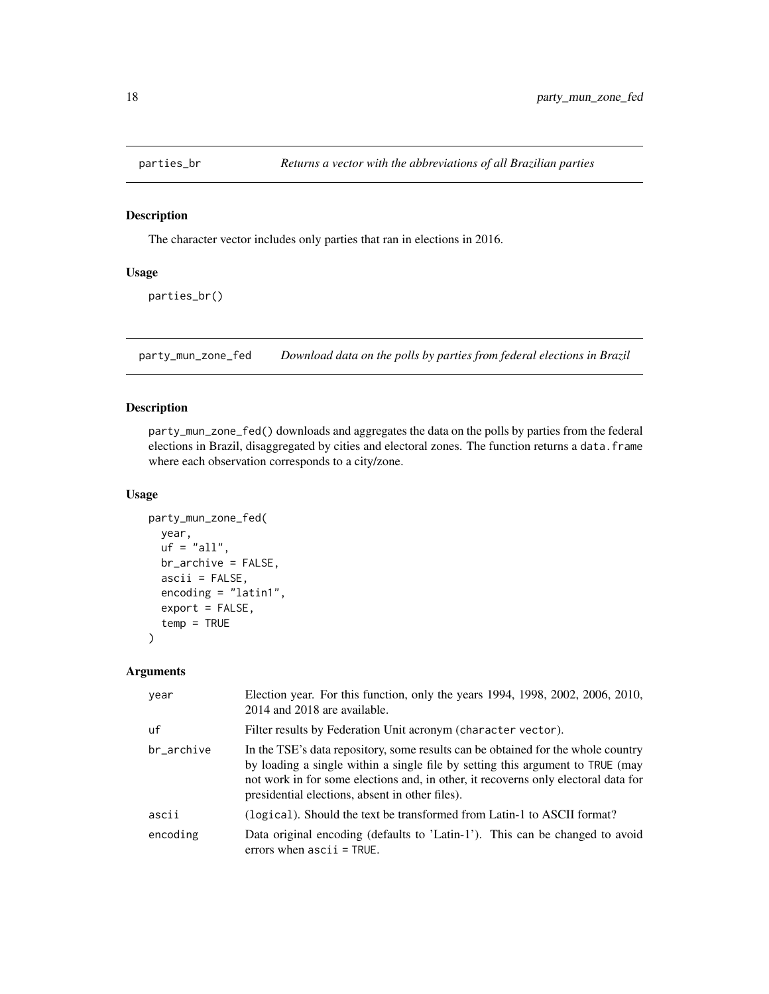<span id="page-17-0"></span>

## Description

The character vector includes only parties that ran in elections in 2016.

## Usage

parties\_br()

<span id="page-17-1"></span>party\_mun\_zone\_fed *Download data on the polls by parties from federal elections in Brazil*

## Description

party\_mun\_zone\_fed() downloads and aggregates the data on the polls by parties from the federal elections in Brazil, disaggregated by cities and electoral zones. The function returns a data.frame where each observation corresponds to a city/zone.

#### Usage

```
party_mun_zone_fed(
 year,
 uf = "all",br_archive = FALSE,
  ascii = FALSE,
  encoding = "latin1",
  export = FALSE,
  temp = TRUE
)
```
## Arguments

| year       | Election year. For this function, only the years 1994, 1998, 2002, 2006, 2010,<br>2014 and 2018 are available.                                                                                                                                                                                              |
|------------|-------------------------------------------------------------------------------------------------------------------------------------------------------------------------------------------------------------------------------------------------------------------------------------------------------------|
| uf         | Filter results by Federation Unit acronym (character vector).                                                                                                                                                                                                                                               |
| br_archive | In the TSE's data repository, some results can be obtained for the whole country<br>by loading a single within a single file by setting this argument to TRUE (may<br>not work in for some elections and, in other, it recoverns only electoral data for<br>presidential elections, absent in other files). |
| ascii      | (logical). Should the text be transformed from Latin-1 to ASCII format?                                                                                                                                                                                                                                     |
| encoding   | Data original encoding (defaults to 'Latin-1'). This can be changed to avoid<br>errors when $ascii = TRUE$ .                                                                                                                                                                                                |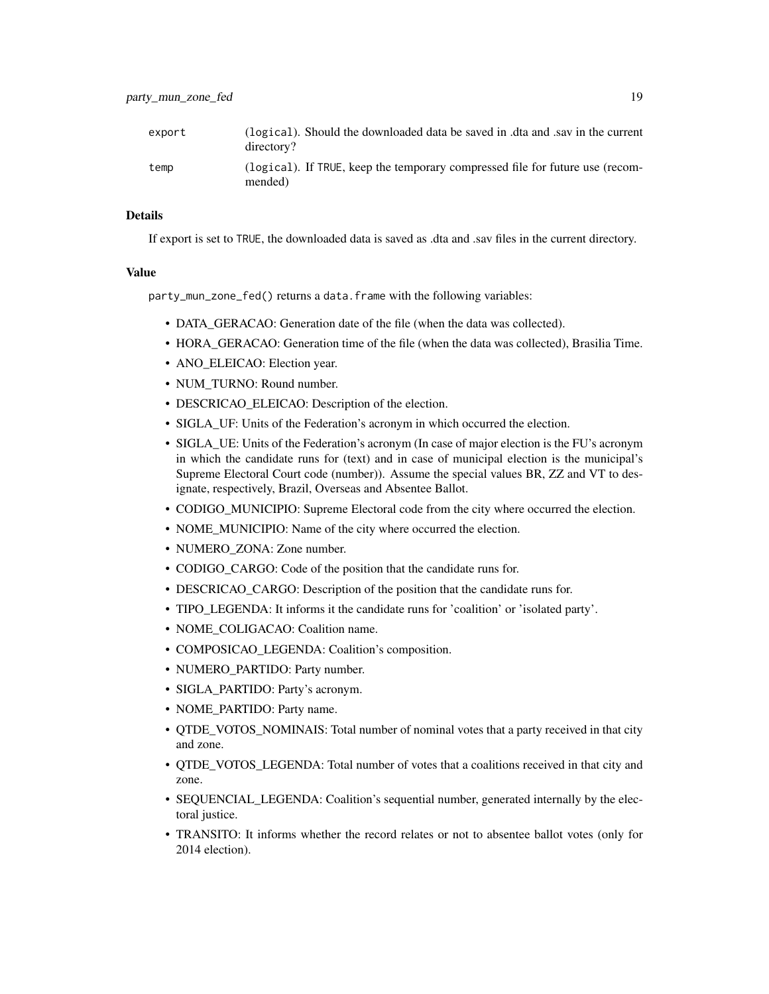#### Details

If export is set to TRUE, the downloaded data is saved as .dta and .sav files in the current directory.

## Value

party\_mun\_zone\_fed() returns a data.frame with the following variables:

- DATA\_GERACAO: Generation date of the file (when the data was collected).
- HORA\_GERACAO: Generation time of the file (when the data was collected), Brasilia Time.
- ANO\_ELEICAO: Election year.
- NUM\_TURNO: Round number.
- DESCRICAO ELEICAO: Description of the election.
- SIGLA\_UF: Units of the Federation's acronym in which occurred the election.
- SIGLA UE: Units of the Federation's acronym (In case of major election is the FU's acronym in which the candidate runs for (text) and in case of municipal election is the municipal's Supreme Electoral Court code (number)). Assume the special values BR, ZZ and VT to designate, respectively, Brazil, Overseas and Absentee Ballot.
- CODIGO\_MUNICIPIO: Supreme Electoral code from the city where occurred the election.
- NOME\_MUNICIPIO: Name of the city where occurred the election.
- NUMERO\_ZONA: Zone number.
- CODIGO CARGO: Code of the position that the candidate runs for.
- DESCRICAO CARGO: Description of the position that the candidate runs for.
- TIPO\_LEGENDA: It informs it the candidate runs for 'coalition' or 'isolated party'.
- NOME\_COLIGACAO: Coalition name.
- COMPOSICAO\_LEGENDA: Coalition's composition.
- NUMERO\_PARTIDO: Party number.
- SIGLA\_PARTIDO: Party's acronym.
- NOME\_PARTIDO: Party name.
- OTDE VOTOS NOMINAIS: Total number of nominal votes that a party received in that city and zone.
- QTDE\_VOTOS\_LEGENDA: Total number of votes that a coalitions received in that city and zone.
- SEQUENCIAL\_LEGENDA: Coalition's sequential number, generated internally by the electoral justice.
- TRANSITO: It informs whether the record relates or not to absentee ballot votes (only for 2014 election).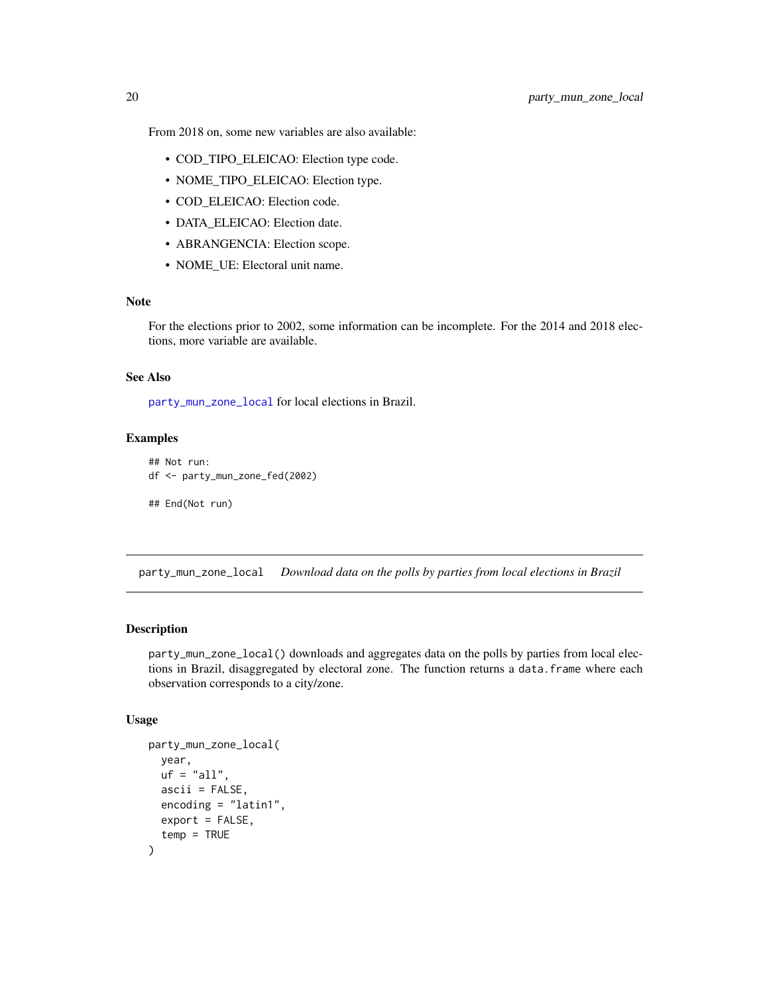- <span id="page-19-0"></span>• COD\_TIPO\_ELEICAO: Election type code.
- NOME\_TIPO\_ELEICAO: Election type.
- COD\_ELEICAO: Election code.
- DATA\_ELEICAO: Election date.
- ABRANGENCIA: Election scope.
- NOME\_UE: Electoral unit name.

For the elections prior to 2002, some information can be incomplete. For the 2014 and 2018 elections, more variable are available.

#### See Also

[party\\_mun\\_zone\\_local](#page-19-1) for local elections in Brazil.

## Examples

```
## Not run:
df <- party_mun_zone_fed(2002)
```

```
## End(Not run)
```
<span id="page-19-1"></span>party\_mun\_zone\_local *Download data on the polls by parties from local elections in Brazil*

## Description

party\_mun\_zone\_local() downloads and aggregates data on the polls by parties from local elections in Brazil, disaggregated by electoral zone. The function returns a data.frame where each observation corresponds to a city/zone.

## Usage

```
party_mun_zone_local(
  year,
  uf = "all".ascii = FALSE,
  encoding = "latin1",
  export = FALSE,temp = TRUE
)
```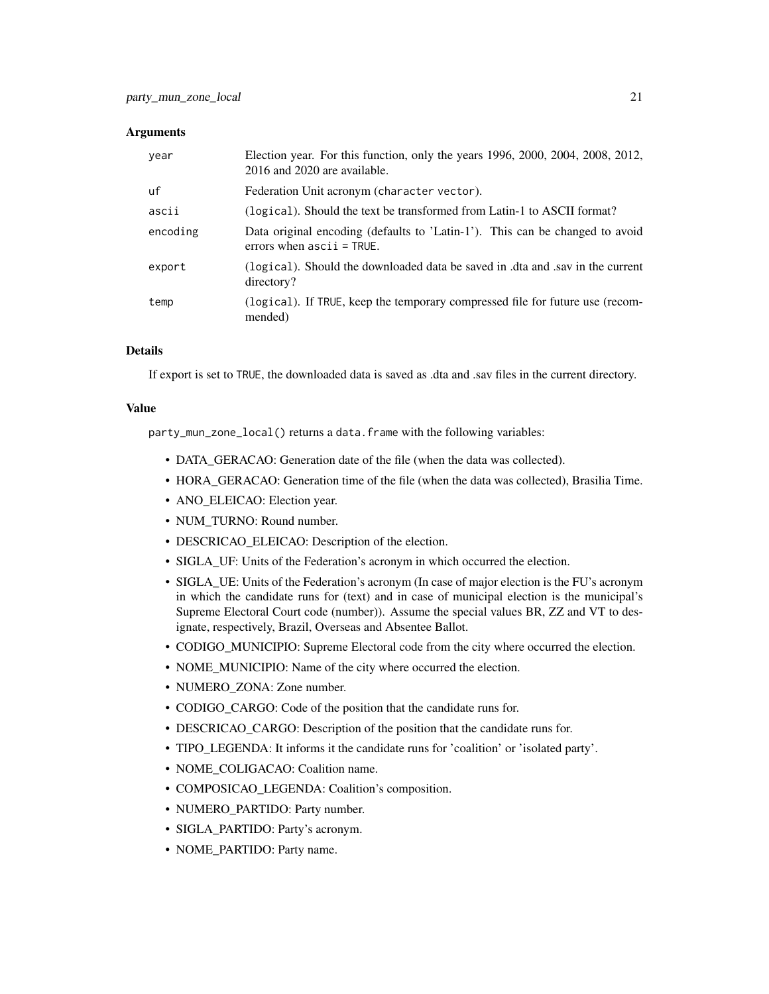#### **Arguments**

| year     | Election year. For this function, only the years 1996, 2000, 2004, 2008, 2012,<br>2016 and 2020 are available. |
|----------|----------------------------------------------------------------------------------------------------------------|
| uf       | Federation Unit acronym (character vector).                                                                    |
| ascii    | (logical). Should the text be transformed from Latin-1 to ASCII format?                                        |
| encoding | Data original encoding (defaults to 'Latin-1'). This can be changed to avoid<br>errors when $ascii = TRUE$ .   |
| export   | (logical). Should the downloaded data be saved in .dta and .sav in the current<br>directory?                   |
| temp     | (logical). If TRUE, keep the temporary compressed file for future use (recom-<br>mended)                       |

## Details

If export is set to TRUE, the downloaded data is saved as .dta and .sav files in the current directory.

## Value

party\_mun\_zone\_local() returns a data.frame with the following variables:

- DATA GERACAO: Generation date of the file (when the data was collected).
- HORA GERACAO: Generation time of the file (when the data was collected), Brasilia Time.
- ANO\_ELEICAO: Election year.
- NUM\_TURNO: Round number.
- DESCRICAO\_ELEICAO: Description of the election.
- SIGLA\_UF: Units of the Federation's acronym in which occurred the election.
- SIGLA\_UE: Units of the Federation's acronym (In case of major election is the FU's acronym in which the candidate runs for (text) and in case of municipal election is the municipal's Supreme Electoral Court code (number)). Assume the special values BR, ZZ and VT to designate, respectively, Brazil, Overseas and Absentee Ballot.
- CODIGO\_MUNICIPIO: Supreme Electoral code from the city where occurred the election.
- NOME\_MUNICIPIO: Name of the city where occurred the election.
- NUMERO ZONA: Zone number.
- CODIGO\_CARGO: Code of the position that the candidate runs for.
- DESCRICAO CARGO: Description of the position that the candidate runs for.
- TIPO LEGENDA: It informs it the candidate runs for 'coalition' or 'isolated party'.
- NOME\_COLIGACAO: Coalition name.
- COMPOSICAO\_LEGENDA: Coalition's composition.
- NUMERO PARTIDO: Party number.
- SIGLA\_PARTIDO: Party's acronym.
- NOME\_PARTIDO: Party name.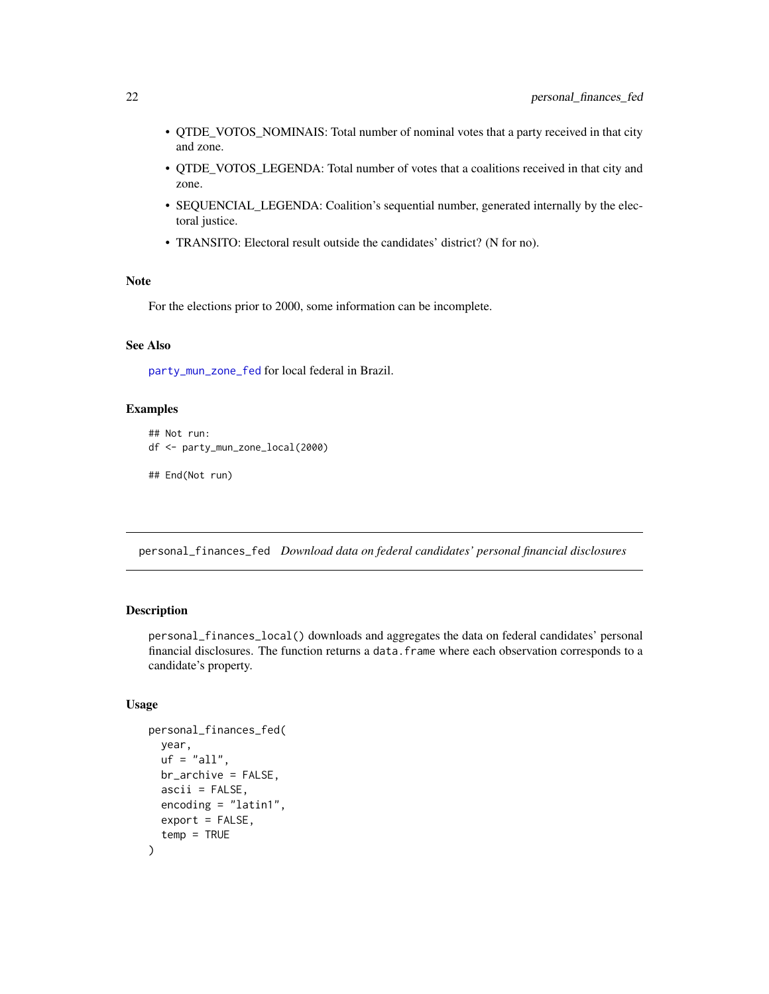- <span id="page-21-0"></span>• QTDE\_VOTOS\_NOMINAIS: Total number of nominal votes that a party received in that city and zone.
- QTDE\_VOTOS\_LEGENDA: Total number of votes that a coalitions received in that city and zone.
- SEQUENCIAL\_LEGENDA: Coalition's sequential number, generated internally by the electoral justice.
- TRANSITO: Electoral result outside the candidates' district? (N for no).

For the elections prior to 2000, some information can be incomplete.

## See Also

[party\\_mun\\_zone\\_fed](#page-17-1) for local federal in Brazil.

## Examples

```
## Not run:
df <- party_mun_zone_local(2000)
```
## End(Not run)

<span id="page-21-1"></span>personal\_finances\_fed *Download data on federal candidates' personal financial disclosures*

## Description

personal\_finances\_local() downloads and aggregates the data on federal candidates' personal financial disclosures. The function returns a data.frame where each observation corresponds to a candidate's property.

#### Usage

```
personal_finances_fed(
 year,
 uf = "all".br_archive = FALSE,
  ascii = FALSE,encoding = "latin1",
 export = FALSE,temp = TRUE
)
```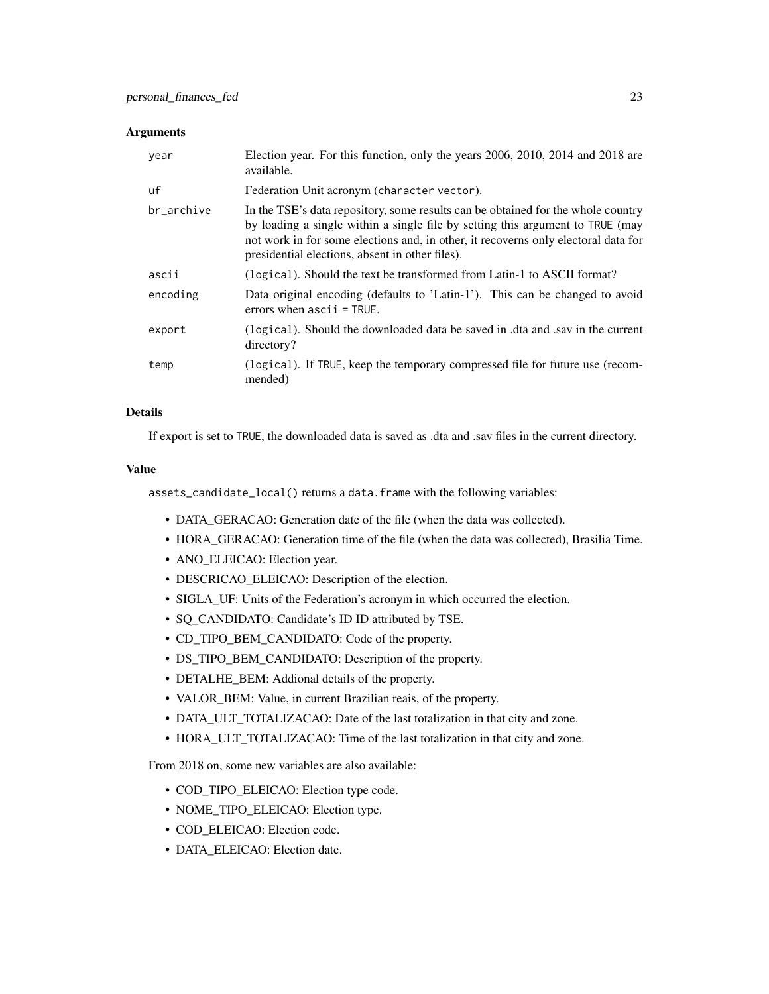#### **Arguments**

| year       | Election year. For this function, only the years 2006, 2010, 2014 and 2018 are<br>available.                                                                                                                                                                                                               |
|------------|------------------------------------------------------------------------------------------------------------------------------------------------------------------------------------------------------------------------------------------------------------------------------------------------------------|
| uf         | Federation Unit acronym (character vector).                                                                                                                                                                                                                                                                |
| br_archive | In the TSE's data repository, some results can be obtained for the whole country<br>by loading a single within a single file by setting this argument to TRUE (may<br>not work in for some elections and, in other, it recovers only electoral data for<br>presidential elections, absent in other files). |
| ascii      | (logical). Should the text be transformed from Latin-1 to ASCII format?                                                                                                                                                                                                                                    |
| encoding   | Data original encoding (defaults to 'Latin-1'). This can be changed to avoid<br>errors when $ascii = TRUE$ .                                                                                                                                                                                               |
| export     | (logical). Should the downloaded data be saved in .dta and .say in the current<br>directory?                                                                                                                                                                                                               |
| temp       | (logical). If TRUE, keep the temporary compressed file for future use (recom-<br>mended)                                                                                                                                                                                                                   |

## Details

If export is set to TRUE, the downloaded data is saved as .dta and .sav files in the current directory.

#### Value

assets\_candidate\_local() returns a data.frame with the following variables:

- DATA\_GERACAO: Generation date of the file (when the data was collected).
- HORA GERACAO: Generation time of the file (when the data was collected), Brasilia Time.
- ANO\_ELEICAO: Election year.
- DESCRICAO\_ELEICAO: Description of the election.
- SIGLA\_UF: Units of the Federation's acronym in which occurred the election.
- SQ\_CANDIDATO: Candidate's ID ID attributed by TSE.
- CD\_TIPO\_BEM\_CANDIDATO: Code of the property.
- DS\_TIPO\_BEM\_CANDIDATO: Description of the property.
- DETALHE BEM: Addional details of the property.
- VALOR\_BEM: Value, in current Brazilian reais, of the property.
- DATA\_ULT\_TOTALIZACAO: Date of the last totalization in that city and zone.
- HORA\_ULT\_TOTALIZACAO: Time of the last totalization in that city and zone.

From 2018 on, some new variables are also available:

- COD\_TIPO\_ELEICAO: Election type code.
- NOME\_TIPO\_ELEICAO: Election type.
- COD\_ELEICAO: Election code.
- DATA\_ELEICAO: Election date.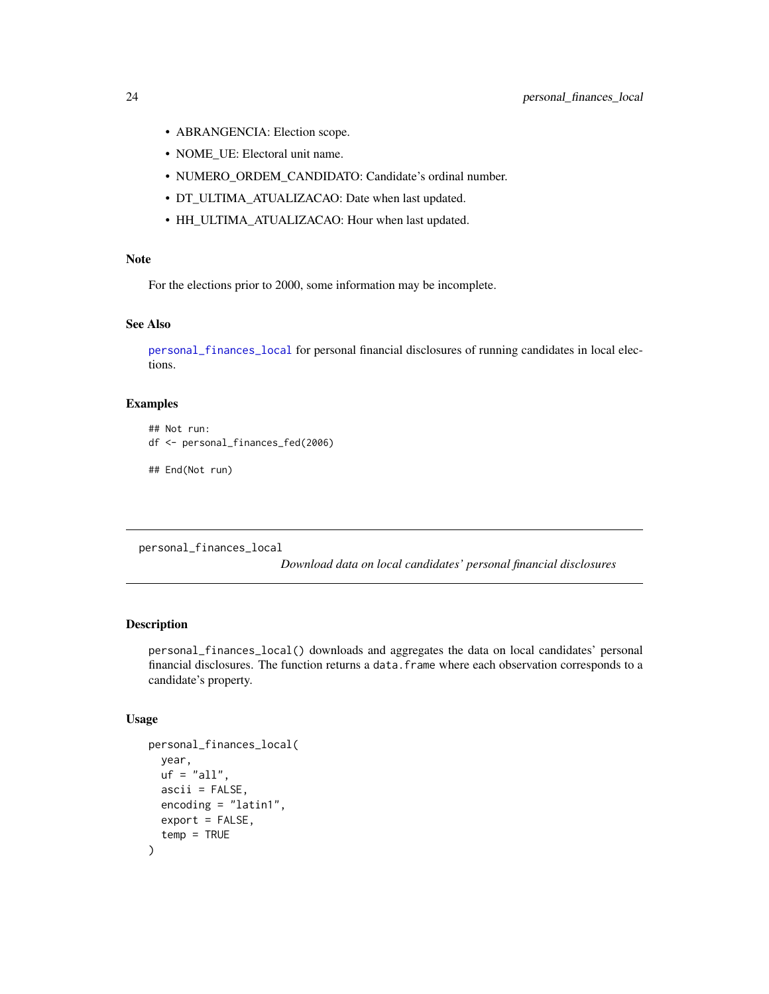- <span id="page-23-0"></span>• ABRANGENCIA: Election scope.
- NOME\_UE: Electoral unit name.
- NUMERO\_ORDEM\_CANDIDATO: Candidate's ordinal number.
- DT\_ULTIMA\_ATUALIZACAO: Date when last updated.
- HH\_ULTIMA\_ATUALIZACAO: Hour when last updated.

For the elections prior to 2000, some information may be incomplete.

## See Also

[personal\\_finances\\_local](#page-23-1) for personal financial disclosures of running candidates in local elections.

#### Examples

## Not run: df <- personal\_finances\_fed(2006)

## End(Not run)

<span id="page-23-1"></span>personal\_finances\_local

*Download data on local candidates' personal financial disclosures*

#### Description

personal\_finances\_local() downloads and aggregates the data on local candidates' personal financial disclosures. The function returns a data.frame where each observation corresponds to a candidate's property.

#### Usage

```
personal_finances_local(
  year,
 uf = "all".ascii = FALSE,
  encoding = "latin1",
  export = FALSE,temp = TRUE
)
```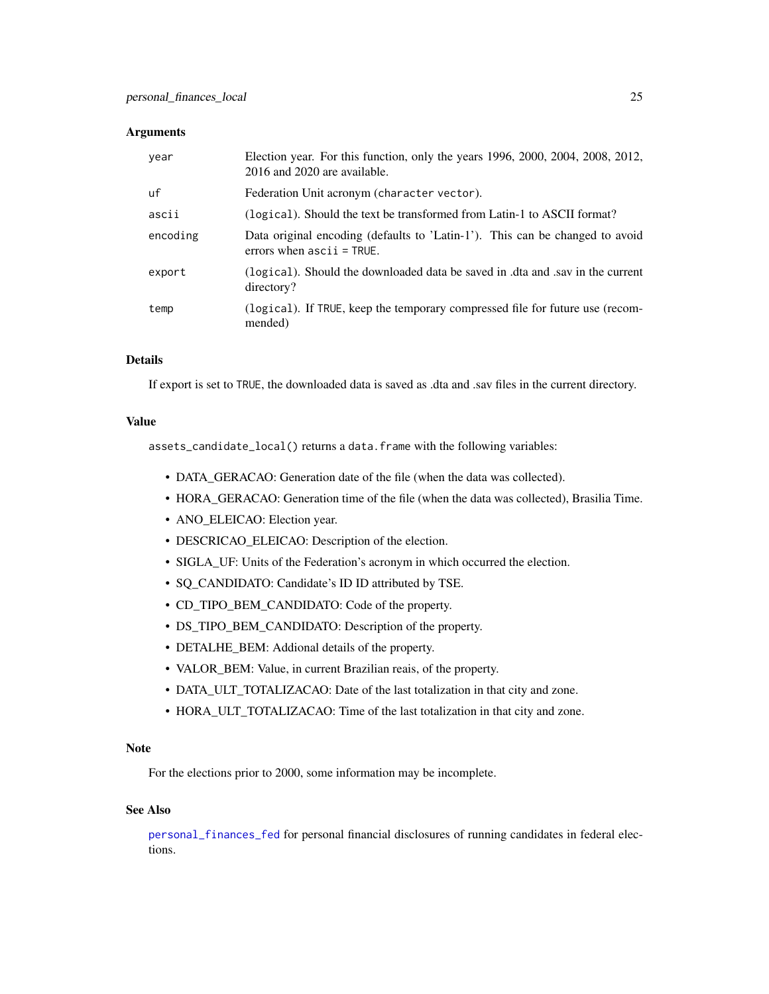#### <span id="page-24-0"></span>**Arguments**

| year     | Election year. For this function, only the years 1996, 2000, 2004, 2008, 2012,<br>2016 and 2020 are available. |
|----------|----------------------------------------------------------------------------------------------------------------|
| uf       | Federation Unit acronym (character vector).                                                                    |
| ascii    | (logical). Should the text be transformed from Latin-1 to ASCII format?                                        |
| encoding | Data original encoding (defaults to 'Latin-1'). This can be changed to avoid<br>errors when $ascii = TRUE$ .   |
| export   | (logical). Should the downloaded data be saved in .dta and .sav in the current<br>directory?                   |
| temp     | (logical). If TRUE, keep the temporary compressed file for future use (recom-<br>mended)                       |

## Details

If export is set to TRUE, the downloaded data is saved as .dta and .sav files in the current directory.

## Value

assets\_candidate\_local() returns a data.frame with the following variables:

- DATA\_GERACAO: Generation date of the file (when the data was collected).
- HORA\_GERACAO: Generation time of the file (when the data was collected), Brasilia Time.
- ANO\_ELEICAO: Election year.
- DESCRICAO\_ELEICAO: Description of the election.
- SIGLA\_UF: Units of the Federation's acronym in which occurred the election.
- SQ\_CANDIDATO: Candidate's ID ID attributed by TSE.
- CD\_TIPO\_BEM\_CANDIDATO: Code of the property.
- DS\_TIPO\_BEM\_CANDIDATO: Description of the property.
- DETALHE\_BEM: Addional details of the property.
- VALOR\_BEM: Value, in current Brazilian reais, of the property.
- DATA\_ULT\_TOTALIZACAO: Date of the last totalization in that city and zone.
- HORA\_ULT\_TOTALIZACAO: Time of the last totalization in that city and zone.

#### Note

For the elections prior to 2000, some information may be incomplete.

#### See Also

[personal\\_finances\\_fed](#page-21-1) for personal financial disclosures of running candidates in federal elections.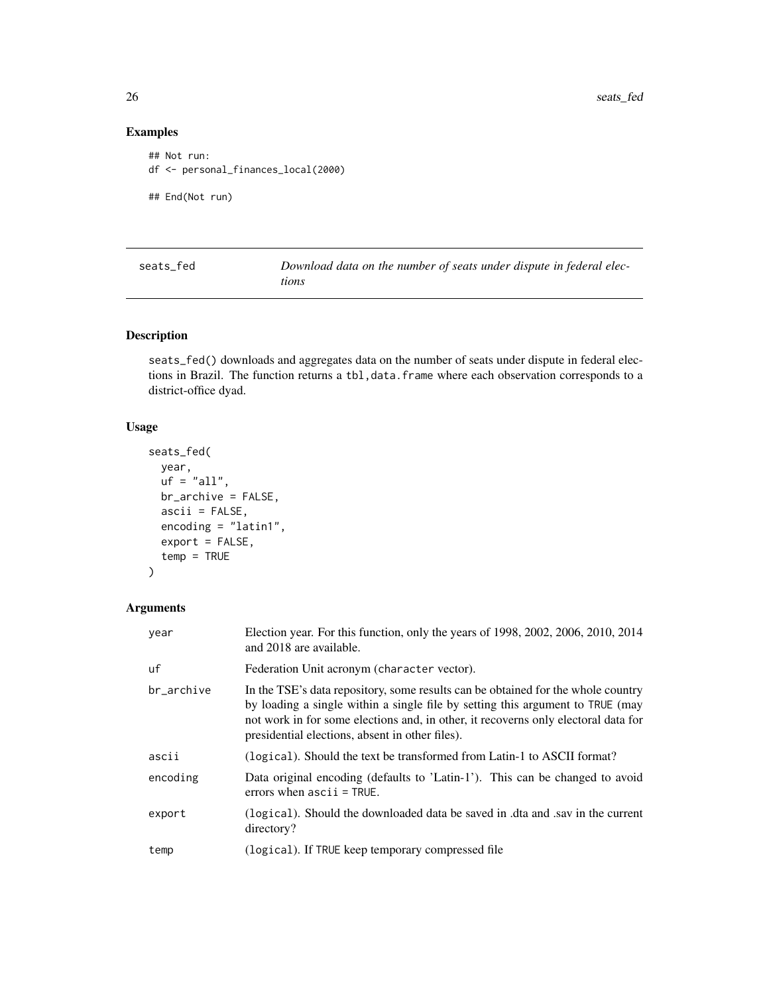## Examples

```
## Not run:
df <- personal_finances_local(2000)
## End(Not run)
```
<span id="page-25-1"></span>

| seats fed | Download data on the number of seats under dispute in federal elec- |
|-----------|---------------------------------------------------------------------|
|           | tions                                                               |

## Description

seats\_fed() downloads and aggregates data on the number of seats under dispute in federal elections in Brazil. The function returns a tbl,data.frame where each observation corresponds to a district-office dyad.

## Usage

```
seats_fed(
 year,
 uf = "all",br_archive = FALSE,
  ascii = FALSE,encoding = "latin1",
 export = FALSE,
  temp = TRUE
)
```
## Arguments

| year       | Election year. For this function, only the years of $1998, 2002, 2006, 2010, 2014$<br>and 2018 are available.                                                                                                                                                                                              |
|------------|------------------------------------------------------------------------------------------------------------------------------------------------------------------------------------------------------------------------------------------------------------------------------------------------------------|
| uf         | Federation Unit acronym (character vector).                                                                                                                                                                                                                                                                |
| br archive | In the TSE's data repository, some results can be obtained for the whole country<br>by loading a single within a single file by setting this argument to TRUE (may<br>not work in for some elections and, in other, it recovers only electoral data for<br>presidential elections, absent in other files). |
| ascii      | (logical). Should the text be transformed from Latin-1 to ASCII format?                                                                                                                                                                                                                                    |
| encoding   | Data original encoding (defaults to 'Latin-1'). This can be changed to avoid<br>errors when $ascii = TRUE$ .                                                                                                                                                                                               |
| export     | (logical). Should the downloaded data be saved in .dta and .say in the current<br>directory?                                                                                                                                                                                                               |
| temp       | (logical). If TRUE keep temporary compressed file                                                                                                                                                                                                                                                          |

<span id="page-25-0"></span>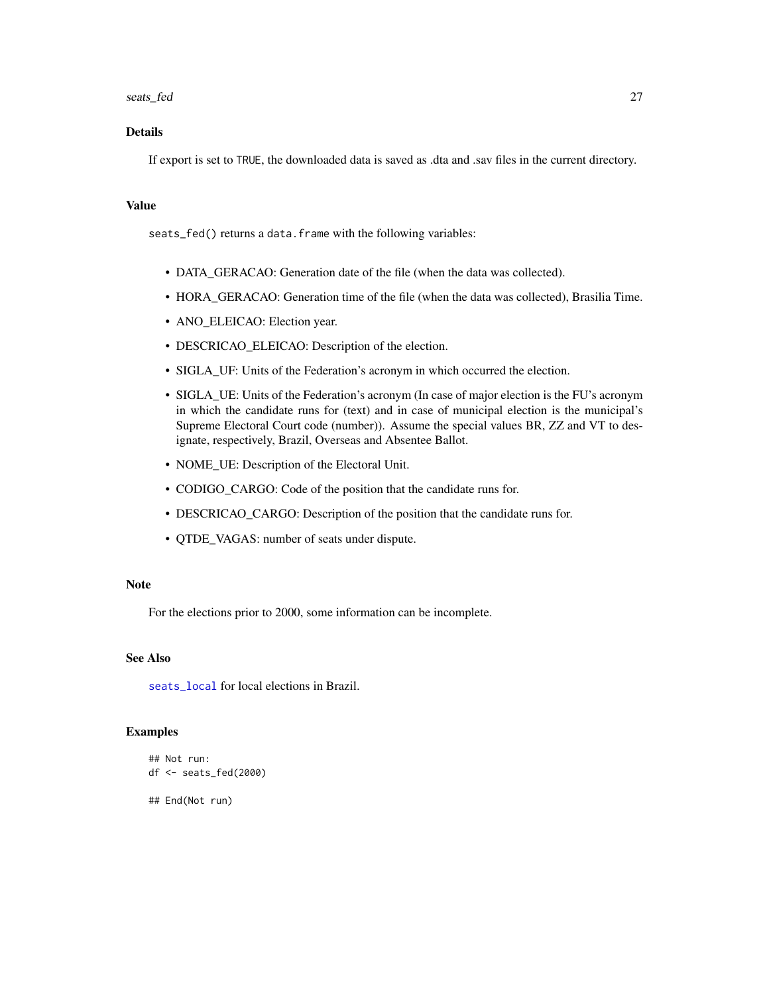#### <span id="page-26-0"></span>seats\_fed 27

## Details

If export is set to TRUE, the downloaded data is saved as .dta and .sav files in the current directory.

### Value

seats\_fed() returns a data.frame with the following variables:

- DATA\_GERACAO: Generation date of the file (when the data was collected).
- HORA\_GERACAO: Generation time of the file (when the data was collected), Brasilia Time.
- ANO\_ELEICAO: Election year.
- DESCRICAO\_ELEICAO: Description of the election.
- SIGLA\_UF: Units of the Federation's acronym in which occurred the election.
- SIGLA\_UE: Units of the Federation's acronym (In case of major election is the FU's acronym in which the candidate runs for (text) and in case of municipal election is the municipal's Supreme Electoral Court code (number)). Assume the special values BR, ZZ and VT to designate, respectively, Brazil, Overseas and Absentee Ballot.
- NOME\_UE: Description of the Electoral Unit.
- CODIGO\_CARGO: Code of the position that the candidate runs for.
- DESCRICAO\_CARGO: Description of the position that the candidate runs for.
- QTDE\_VAGAS: number of seats under dispute.

#### Note

For the elections prior to 2000, some information can be incomplete.

## See Also

seats local for local elections in Brazil.

#### Examples

```
## Not run:
df <- seats_fed(2000)
```
## End(Not run)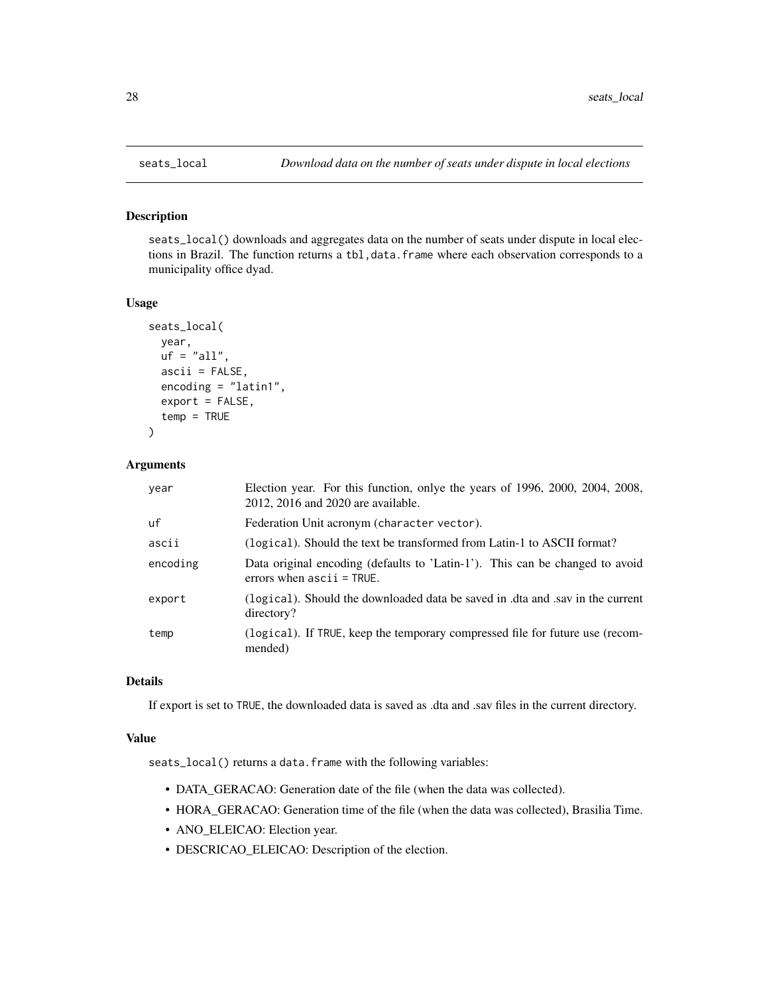## Description

seats\_local() downloads and aggregates data on the number of seats under dispute in local elections in Brazil. The function returns a tbl,data.frame where each observation corresponds to a municipality office dyad.

## Usage

```
seats_local(
 year,
 uf = "all",ascii = FALSE,
  encoding = "latin1",
 export = FALSE,temp = TRUE
)
```
## Arguments

| year     | Election year. For this function, only the years of 1996, 2000, 2004, 2008,<br>2012, 2016 and 2020 are available. |
|----------|-------------------------------------------------------------------------------------------------------------------|
| uf       | Federation Unit acronym (character vector).                                                                       |
| ascii    | (logical). Should the text be transformed from Latin-1 to ASCII format?                                           |
| encoding | Data original encoding (defaults to 'Latin-1'). This can be changed to avoid<br>errors when $ascii = TRUE$ .      |
| export   | (logical). Should the downloaded data be saved in .dta and .sav in the current<br>directory?                      |
| temp     | (logical). If TRUE, keep the temporary compressed file for future use (recom-<br>mended)                          |

## Details

If export is set to TRUE, the downloaded data is saved as .dta and .sav files in the current directory.

#### Value

seats\_local() returns a data.frame with the following variables:

- DATA\_GERACAO: Generation date of the file (when the data was collected).
- HORA\_GERACAO: Generation time of the file (when the data was collected), Brasilia Time.
- ANO\_ELEICAO: Election year.
- DESCRICAO\_ELEICAO: Description of the election.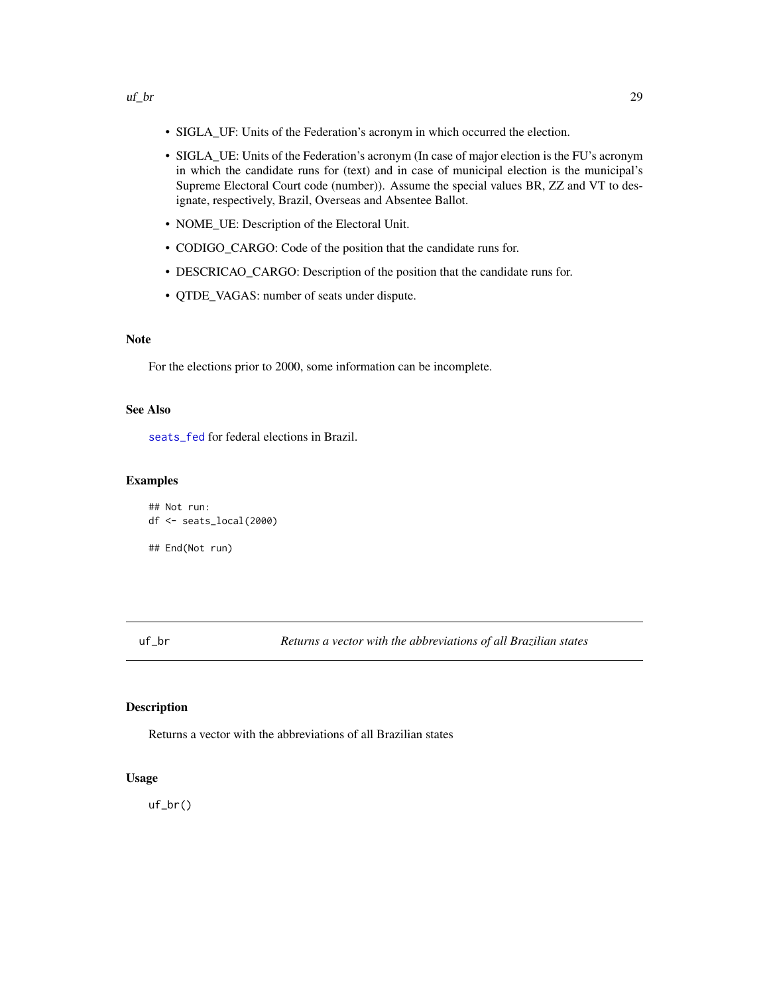- <span id="page-28-0"></span>• SIGLA\_UF: Units of the Federation's acronym in which occurred the election.
- SIGLA\_UE: Units of the Federation's acronym (In case of major election is the FU's acronym in which the candidate runs for (text) and in case of municipal election is the municipal's Supreme Electoral Court code (number)). Assume the special values BR, ZZ and VT to designate, respectively, Brazil, Overseas and Absentee Ballot.
- NOME\_UE: Description of the Electoral Unit.
- CODIGO\_CARGO: Code of the position that the candidate runs for.
- DESCRICAO\_CARGO: Description of the position that the candidate runs for.
- QTDE\_VAGAS: number of seats under dispute.

For the elections prior to 2000, some information can be incomplete.

## See Also

[seats\\_fed](#page-25-1) for federal elections in Brazil.

#### Examples

```
## Not run:
df <- seats_local(2000)
## End(Not run)
```
uf\_br *Returns a vector with the abbreviations of all Brazilian states*

## Description

Returns a vector with the abbreviations of all Brazilian states

#### Usage

uf\_br()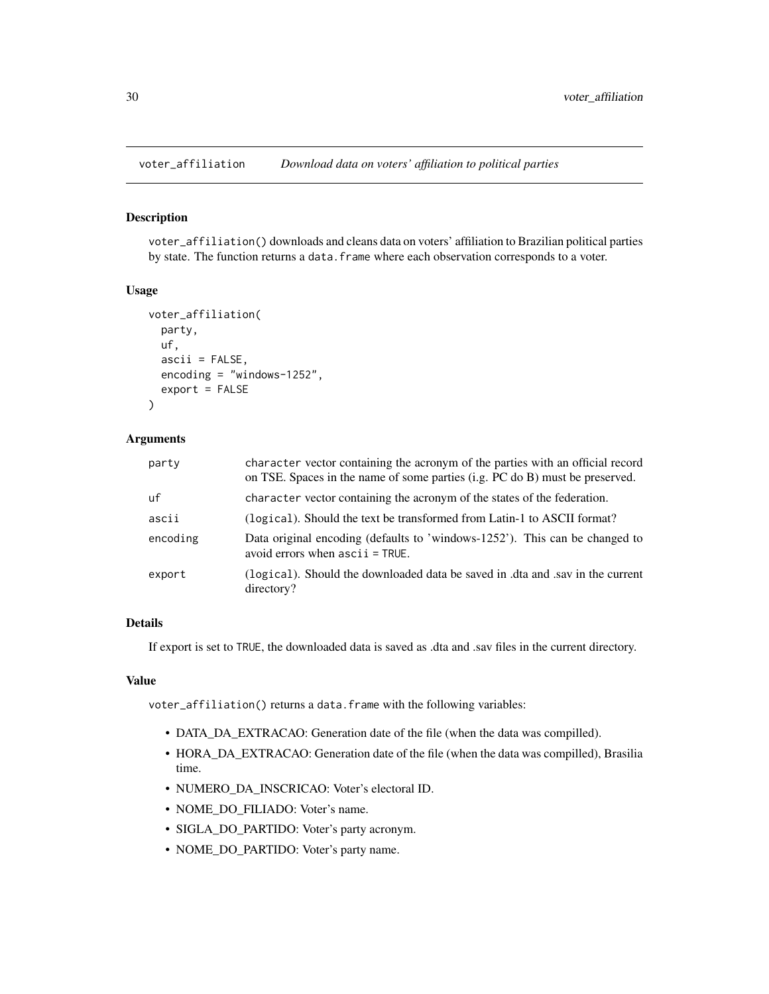<span id="page-29-0"></span>

#### Description

voter\_affiliation() downloads and cleans data on voters' affiliation to Brazilian political parties by state. The function returns a data.frame where each observation corresponds to a voter.

#### Usage

```
voter_affiliation(
  party,
  uf,
  ascii = FALSE,encoding = "windows-1252",
  export = FALSE)
```
#### Arguments

| party    | character vector containing the acronym of the parties with an official record<br>on TSE. Spaces in the name of some parties (i.g. PC do B) must be preserved. |
|----------|----------------------------------------------------------------------------------------------------------------------------------------------------------------|
| uf       | character vector containing the acronym of the states of the federation.                                                                                       |
| ascii    | (logical). Should the text be transformed from Latin-1 to ASCII format?                                                                                        |
| encoding | Data original encoding (defaults to 'windows-1252'). This can be changed to<br>avoid errors when $ascii = TRUE$ .                                              |
| export   | (logical). Should the downloaded data be saved in .dta and .sav in the current<br>directory?                                                                   |

## Details

If export is set to TRUE, the downloaded data is saved as .dta and .sav files in the current directory.

#### Value

voter\_affiliation() returns a data.frame with the following variables:

- DATA\_DA\_EXTRACAO: Generation date of the file (when the data was compilled).
- HORA\_DA\_EXTRACAO: Generation date of the file (when the data was compilled), Brasilia time.
- NUMERO\_DA\_INSCRICAO: Voter's electoral ID.
- NOME\_DO\_FILIADO: Voter's name.
- SIGLA\_DO\_PARTIDO: Voter's party acronym.
- NOME\_DO\_PARTIDO: Voter's party name.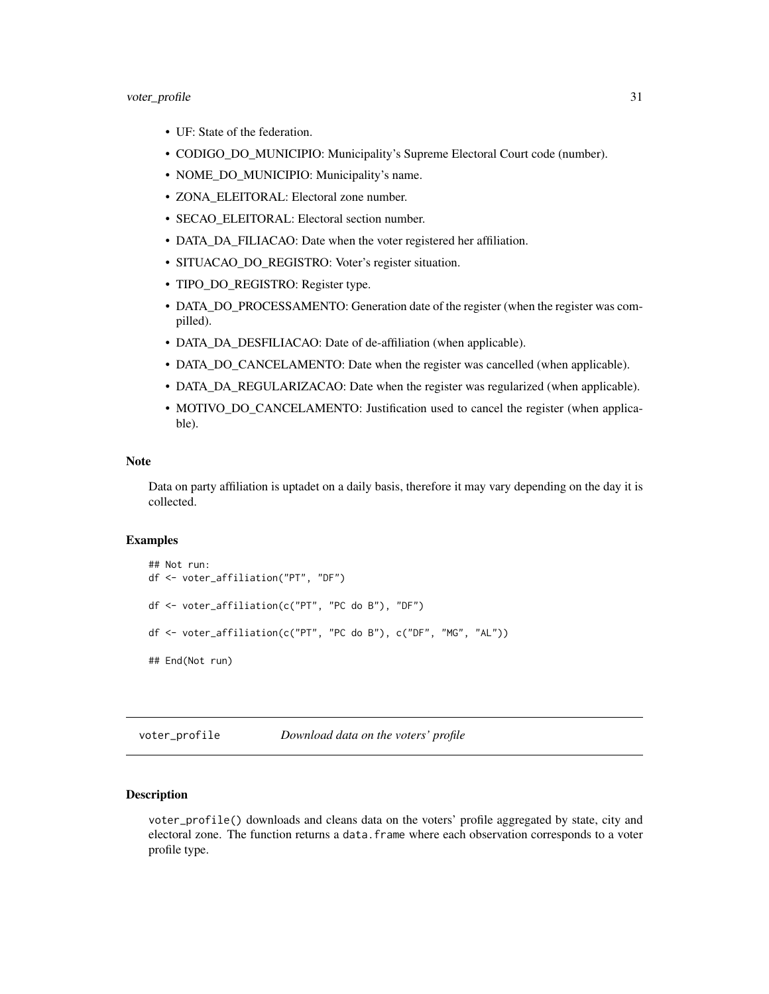- <span id="page-30-0"></span>• UF: State of the federation.
- CODIGO\_DO\_MUNICIPIO: Municipality's Supreme Electoral Court code (number).
- NOME\_DO\_MUNICIPIO: Municipality's name.
- ZONA\_ELEITORAL: Electoral zone number.
- SECAO\_ELEITORAL: Electoral section number.
- DATA\_DA\_FILIACAO: Date when the voter registered her affiliation.
- SITUACAO\_DO\_REGISTRO: Voter's register situation.
- TIPO\_DO\_REGISTRO: Register type.
- DATA\_DO\_PROCESSAMENTO: Generation date of the register (when the register was compilled).
- DATA\_DA\_DESFILIACAO: Date of de-affiliation (when applicable).
- DATA\_DO\_CANCELAMENTO: Date when the register was cancelled (when applicable).
- DATA\_DA\_REGULARIZACAO: Date when the register was regularized (when applicable).
- MOTIVO\_DO\_CANCELAMENTO: Justification used to cancel the register (when applicable).

Data on party affiliation is uptadet on a daily basis, therefore it may vary depending on the day it is collected.

#### Examples

```
## Not run:
df <- voter_affiliation("PT", "DF")
df <- voter_affiliation(c("PT", "PC do B"), "DF")
df <- voter_affiliation(c("PT", "PC do B"), c("DF", "MG", "AL"))
## End(Not run)
```
voter\_profile *Download data on the voters' profile*

#### Description

voter\_profile() downloads and cleans data on the voters' profile aggregated by state, city and electoral zone. The function returns a data.frame where each observation corresponds to a voter profile type.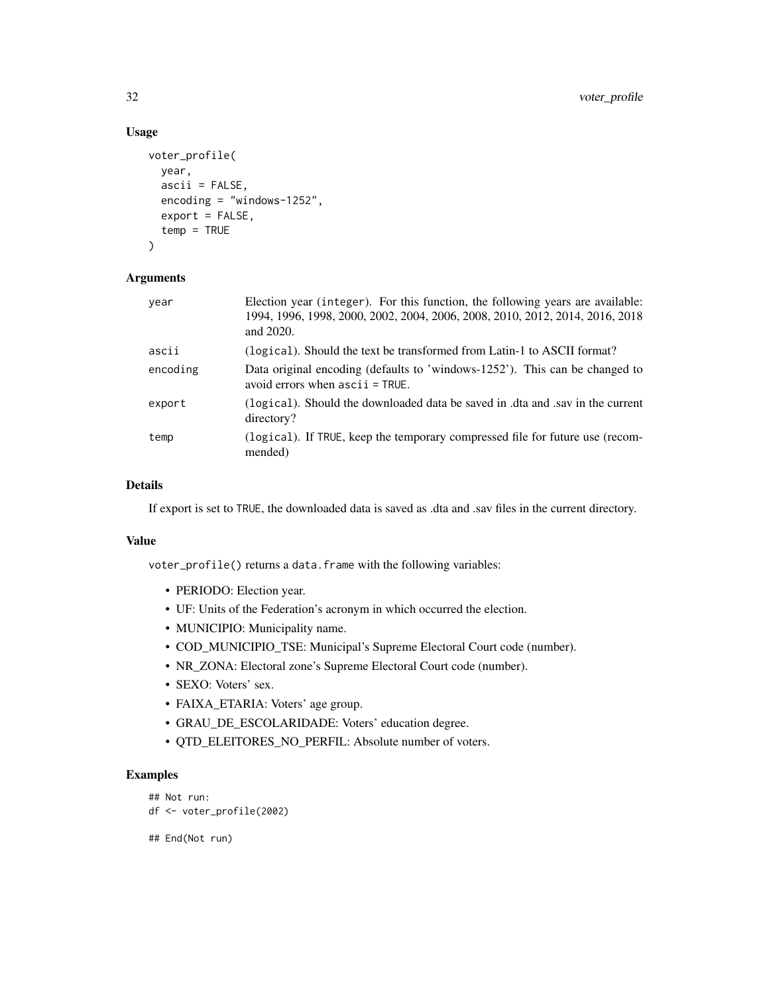## Usage

```
voter_profile(
  year,
  ascii = FALSE,encoding = "windows-1252",
  export = FALSE,temp = TRUE
)
```
## Arguments

| year     | Election year (integer). For this function, the following years are available:<br>1994, 1996, 1998, 2000, 2002, 2004, 2006, 2008, 2010, 2012, 2014, 2016, 2018<br>and 2020. |
|----------|-----------------------------------------------------------------------------------------------------------------------------------------------------------------------------|
| ascii    | (logical). Should the text be transformed from Latin-1 to ASCII format?                                                                                                     |
| encoding | Data original encoding (defaults to 'windows-1252'). This can be changed to<br>avoid errors when $ascii = TRUE$ .                                                           |
| export   | (logical). Should the downloaded data be saved in .dta and .say in the current<br>directory?                                                                                |
| temp     | (logical). If TRUE, keep the temporary compressed file for future use (recom-<br>mended)                                                                                    |

## Details

If export is set to TRUE, the downloaded data is saved as .dta and .sav files in the current directory.

## Value

voter\_profile() returns a data.frame with the following variables:

- PERIODO: Election year.
- UF: Units of the Federation's acronym in which occurred the election.
- MUNICIPIO: Municipality name.
- COD\_MUNICIPIO\_TSE: Municipal's Supreme Electoral Court code (number).
- NR\_ZONA: Electoral zone's Supreme Electoral Court code (number).
- SEXO: Voters' sex.
- FAIXA\_ETARIA: Voters' age group.
- GRAU\_DE\_ESCOLARIDADE: Voters' education degree.
- QTD\_ELEITORES\_NO\_PERFIL: Absolute number of voters.

## Examples

```
## Not run:
df <- voter_profile(2002)
```
## End(Not run)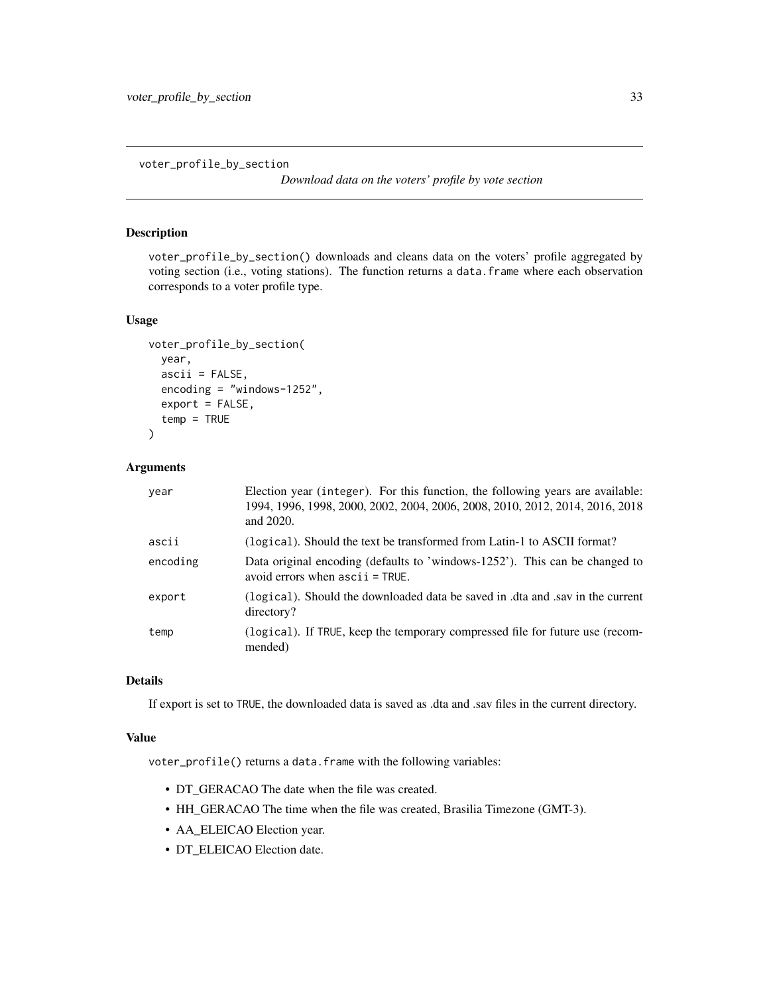<span id="page-32-0"></span>voter\_profile\_by\_section

*Download data on the voters' profile by vote section*

## Description

voter\_profile\_by\_section() downloads and cleans data on the voters' profile aggregated by voting section (i.e., voting stations). The function returns a data.frame where each observation corresponds to a voter profile type.

#### Usage

```
voter_profile_by_section(
  year,
  ascii = FALSE,encoding = "windows-1252",
  export = FALSE,
  temp = TRUE
)
```
#### Arguments

| year     | Election year (integer). For this function, the following years are available:<br>1994, 1996, 1998, 2000, 2002, 2004, 2006, 2008, 2010, 2012, 2014, 2016, 2018<br>and 2020. |
|----------|-----------------------------------------------------------------------------------------------------------------------------------------------------------------------------|
| ascii    | (logical). Should the text be transformed from Latin-1 to ASCII format?                                                                                                     |
| encoding | Data original encoding (defaults to 'windows-1252'). This can be changed to<br>avoid errors when $ascii = TRUE$ .                                                           |
| export   | (logical). Should the downloaded data be saved in .dta and .sav in the current<br>directory?                                                                                |
| temp     | (logical). If TRUE, keep the temporary compressed file for future use (recom-<br>mended)                                                                                    |

## Details

If export is set to TRUE, the downloaded data is saved as .dta and .sav files in the current directory.

#### Value

voter\_profile() returns a data.frame with the following variables:

- DT\_GERACAO The date when the file was created.
- HH\_GERACAO The time when the file was created, Brasilia Timezone (GMT-3).
- AA\_ELEICAO Election year.
- DT\_ELEICAO Election date.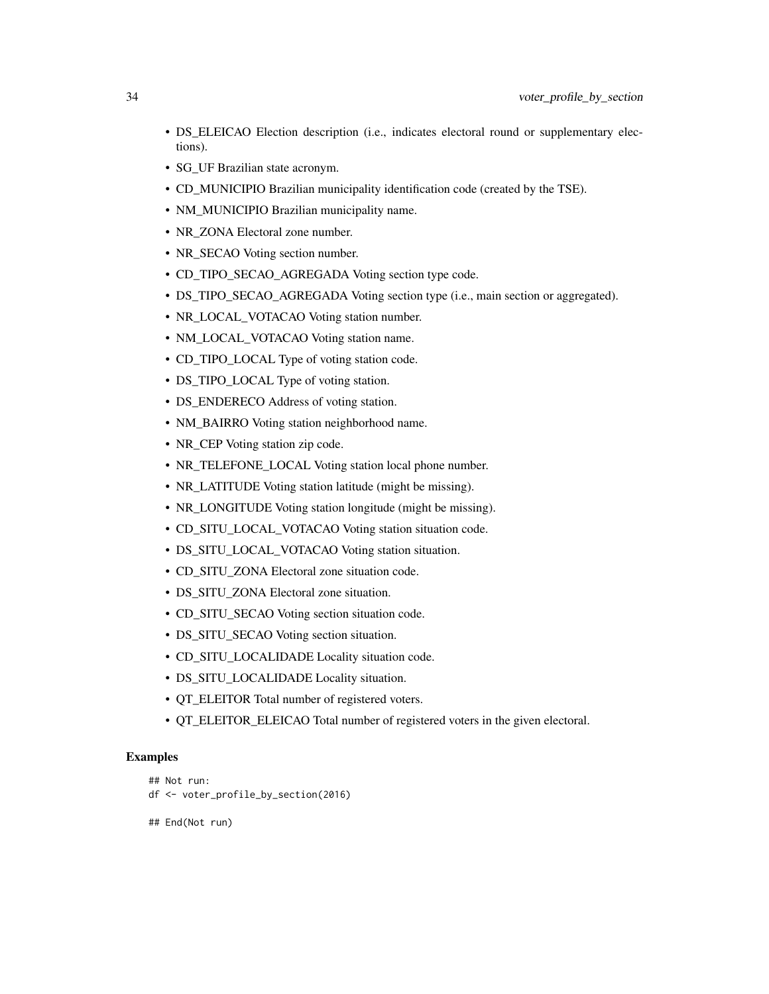- DS\_ELEICAO Election description (i.e., indicates electoral round or supplementary elections).
- SG UF Brazilian state acronym.
- CD\_MUNICIPIO Brazilian municipality identification code (created by the TSE).
- NM\_MUNICIPIO Brazilian municipality name.
- NR\_ZONA Electoral zone number.
- NR\_SECAO Voting section number.
- CD\_TIPO\_SECAO\_AGREGADA Voting section type code.
- DS\_TIPO\_SECAO\_AGREGADA Voting section type (i.e., main section or aggregated).
- NR\_LOCAL\_VOTACAO Voting station number.
- NM\_LOCAL\_VOTACAO Voting station name.
- CD\_TIPO\_LOCAL Type of voting station code.
- DS\_TIPO\_LOCAL Type of voting station.
- DS\_ENDERECO Address of voting station.
- NM\_BAIRRO Voting station neighborhood name.
- NR CEP Voting station zip code.
- NR\_TELEFONE\_LOCAL Voting station local phone number.
- NR\_LATITUDE Voting station latitude (might be missing).
- NR\_LONGITUDE Voting station longitude (might be missing).
- CD\_SITU\_LOCAL\_VOTACAO Voting station situation code.
- DS\_SITU\_LOCAL\_VOTACAO Voting station situation.
- CD\_SITU\_ZONA Electoral zone situation code.
- DS\_SITU\_ZONA Electoral zone situation.
- CD\_SITU\_SECAO Voting section situation code.
- DS\_SITU\_SECAO Voting section situation.
- CD\_SITU\_LOCALIDADE Locality situation code.
- DS\_SITU\_LOCALIDADE Locality situation.
- QT\_ELEITOR Total number of registered voters.
- QT\_ELEITOR\_ELEICAO Total number of registered voters in the given electoral.

## Examples

```
## Not run:
df <- voter_profile_by_section(2016)
```

```
## End(Not run)
```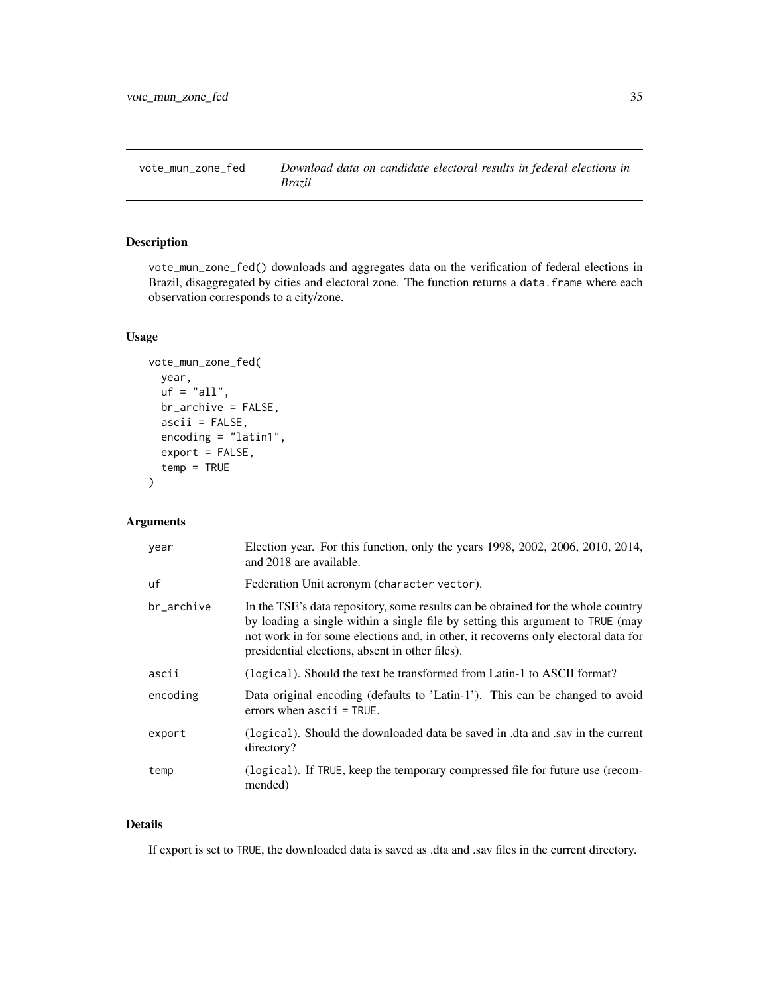<span id="page-34-1"></span><span id="page-34-0"></span>

## Description

vote\_mun\_zone\_fed() downloads and aggregates data on the verification of federal elections in Brazil, disaggregated by cities and electoral zone. The function returns a data. frame where each observation corresponds to a city/zone.

### Usage

```
vote_mun_zone_fed(
  year,
  uf = "all",br_archive = FALSE,
  ascii = FALSE,
  encoding = "latin1",
  export = FALSE,temp = TRUE
)
```
## Arguments

| year       | Election year. For this function, only the years 1998, 2002, 2006, 2010, 2014,<br>and 2018 are available.                                                                                                                                                                                                  |
|------------|------------------------------------------------------------------------------------------------------------------------------------------------------------------------------------------------------------------------------------------------------------------------------------------------------------|
| uf         | Federation Unit acronym (character vector).                                                                                                                                                                                                                                                                |
| br_archive | In the TSE's data repository, some results can be obtained for the whole country<br>by loading a single within a single file by setting this argument to TRUE (may<br>not work in for some elections and, in other, it recovers only electoral data for<br>presidential elections, absent in other files). |
| ascii      | (logical). Should the text be transformed from Latin-1 to ASCII format?                                                                                                                                                                                                                                    |
| encoding   | Data original encoding (defaults to 'Latin-1'). This can be changed to avoid<br>errors when $ascii = TRUE$ .                                                                                                                                                                                               |
| export     | (logical). Should the downloaded data be saved in dta and sav in the current<br>directory?                                                                                                                                                                                                                 |
| temp       | (logical). If TRUE, keep the temporary compressed file for future use (recom-<br>mended)                                                                                                                                                                                                                   |

## Details

If export is set to TRUE, the downloaded data is saved as .dta and .sav files in the current directory.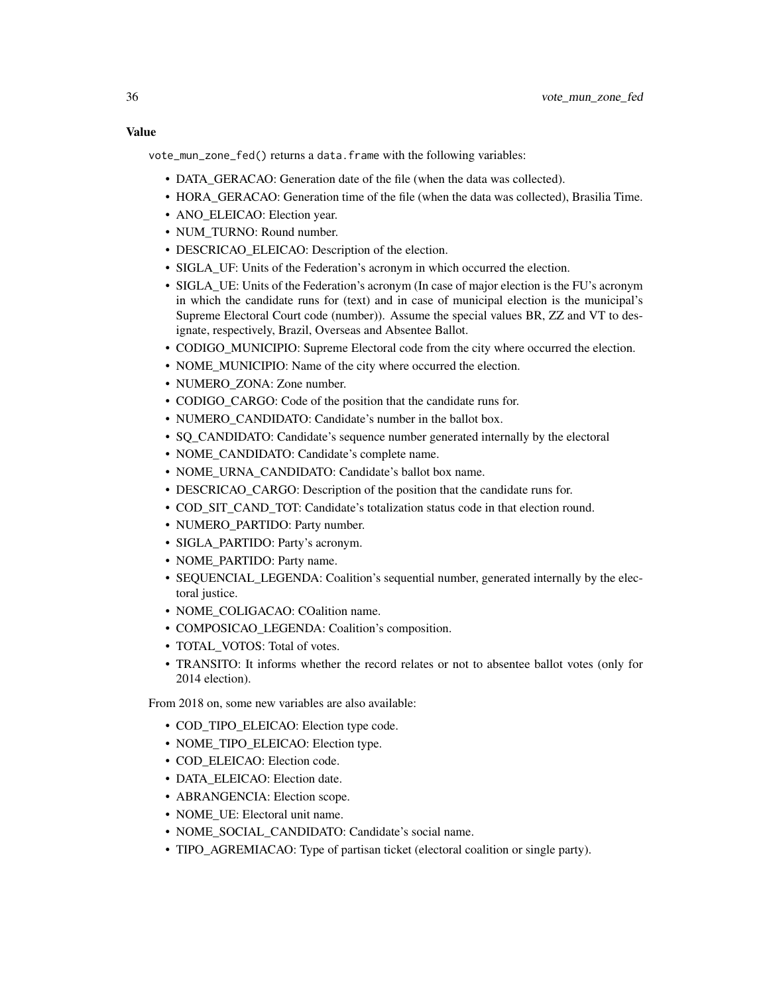Value

vote\_mun\_zone\_fed() returns a data.frame with the following variables:

- DATA\_GERACAO: Generation date of the file (when the data was collected).
- HORA\_GERACAO: Generation time of the file (when the data was collected), Brasilia Time.
- ANO\_ELEICAO: Election year.
- NUM\_TURNO: Round number.
- DESCRICAO ELEICAO: Description of the election.
- SIGLA UF: Units of the Federation's acronym in which occurred the election.
- SIGLA\_UE: Units of the Federation's acronym (In case of major election is the FU's acronym in which the candidate runs for (text) and in case of municipal election is the municipal's Supreme Electoral Court code (number)). Assume the special values BR, ZZ and VT to designate, respectively, Brazil, Overseas and Absentee Ballot.
- CODIGO\_MUNICIPIO: Supreme Electoral code from the city where occurred the election.
- NOME\_MUNICIPIO: Name of the city where occurred the election.
- NUMERO ZONA: Zone number.
- CODIGO\_CARGO: Code of the position that the candidate runs for.
- NUMERO\_CANDIDATO: Candidate's number in the ballot box.
- SO CANDIDATO: Candidate's sequence number generated internally by the electoral
- NOME\_CANDIDATO: Candidate's complete name.
- NOME\_URNA\_CANDIDATO: Candidate's ballot box name.
- DESCRICAO\_CARGO: Description of the position that the candidate runs for.
- COD\_SIT\_CAND\_TOT: Candidate's totalization status code in that election round.
- NUMERO\_PARTIDO: Party number.
- SIGLA PARTIDO: Party's acronym.
- NOME\_PARTIDO: Party name.
- SEQUENCIAL\_LEGENDA: Coalition's sequential number, generated internally by the electoral justice.
- NOME\_COLIGACAO: COalition name.
- COMPOSICAO\_LEGENDA: Coalition's composition.
- TOTAL VOTOS: Total of votes.
- TRANSITO: It informs whether the record relates or not to absentee ballot votes (only for 2014 election).

From 2018 on, some new variables are also available:

- COD\_TIPO\_ELEICAO: Election type code.
- NOME\_TIPO\_ELEICAO: Election type.
- COD\_ELEICAO: Election code.
- DATA\_ELEICAO: Election date.
- ABRANGENCIA: Election scope.
- NOME\_UE: Electoral unit name.
- NOME\_SOCIAL\_CANDIDATO: Candidate's social name.
- TIPO\_AGREMIACAO: Type of partisan ticket (electoral coalition or single party).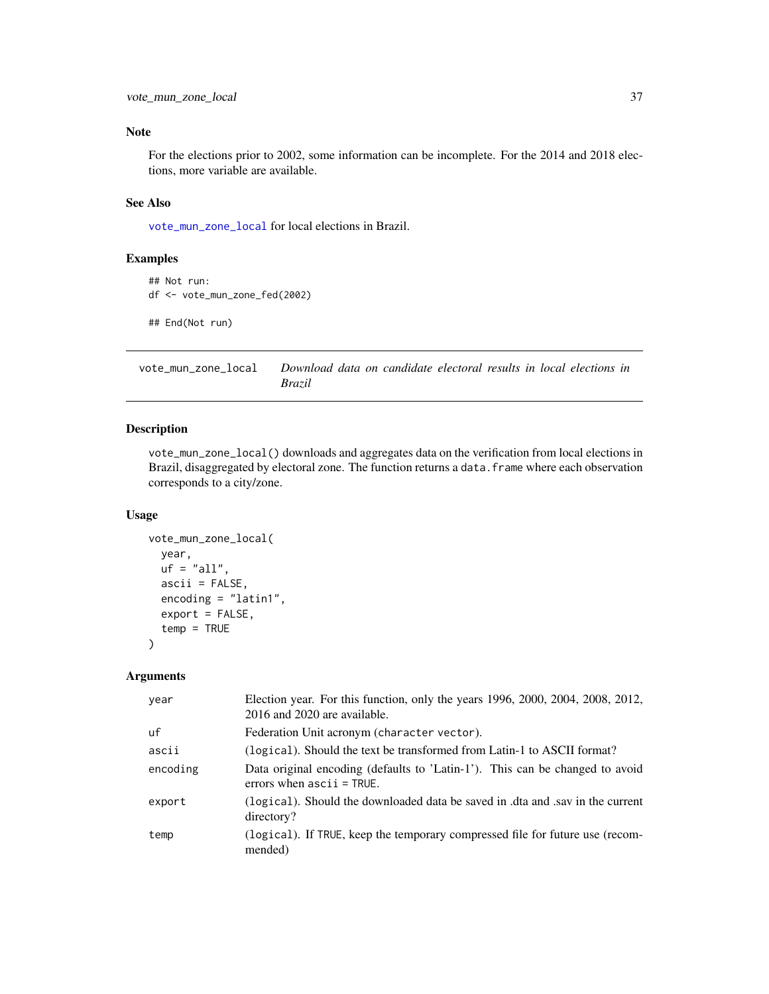<span id="page-36-0"></span>For the elections prior to 2002, some information can be incomplete. For the 2014 and 2018 elections, more variable are available.

## See Also

[vote\\_mun\\_zone\\_local](#page-36-1) for local elections in Brazil.

#### Examples

```
## Not run:
df <- vote_mun_zone_fed(2002)
## End(Not run)
```
<span id="page-36-1"></span>vote\_mun\_zone\_local *Download data on candidate electoral results in local elections in Brazil*

## Description

vote\_mun\_zone\_local() downloads and aggregates data on the verification from local elections in Brazil, disaggregated by electoral zone. The function returns a data.frame where each observation corresponds to a city/zone.

#### Usage

```
vote_mun_zone_local(
  year,
  uf = "all",ascii = FALSE,
  encoding = "latin1",
  export = FALSE,
  temp = TRUE
)
```
## Arguments

| year     | Election year. For this function, only the years 1996, 2000, 2004, 2008, 2012,<br>2016 and 2020 are available. |
|----------|----------------------------------------------------------------------------------------------------------------|
| uf       | Federation Unit acronym (character vector).                                                                    |
| ascii    | (logical). Should the text be transformed from Latin-1 to ASCII format?                                        |
| encoding | Data original encoding (defaults to 'Latin-1'). This can be changed to avoid<br>errors when $ascii = TRUE$ .   |
| export   | (logical). Should the downloaded data be saved in dta and sav in the current<br>directory?                     |
| temp     | (logical). If TRUE, keep the temporary compressed file for future use (recom-<br>mended)                       |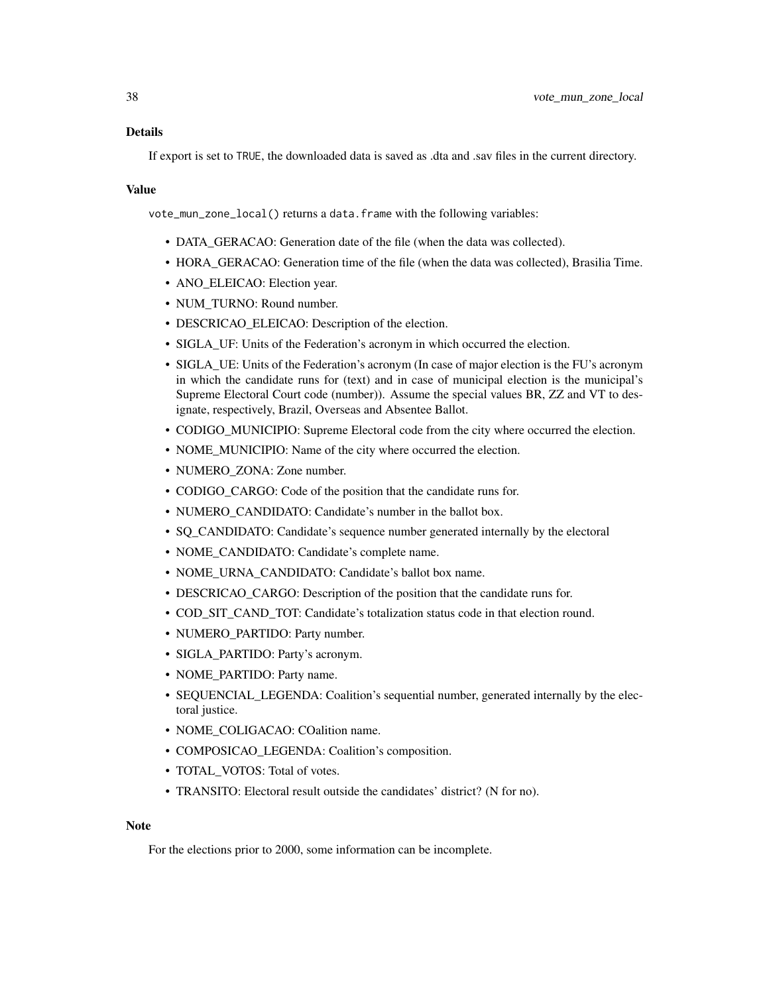If export is set to TRUE, the downloaded data is saved as .dta and .sav files in the current directory.

#### Value

vote\_mun\_zone\_local() returns a data.frame with the following variables:

- DATA\_GERACAO: Generation date of the file (when the data was collected).
- HORA\_GERACAO: Generation time of the file (when the data was collected), Brasilia Time.
- ANO\_ELEICAO: Election year.
- NUM\_TURNO: Round number.
- DESCRICAO\_ELEICAO: Description of the election.
- SIGLA\_UF: Units of the Federation's acronym in which occurred the election.
- SIGLA\_UE: Units of the Federation's acronym (In case of major election is the FU's acronym in which the candidate runs for (text) and in case of municipal election is the municipal's Supreme Electoral Court code (number)). Assume the special values BR, ZZ and VT to designate, respectively, Brazil, Overseas and Absentee Ballot.
- CODIGO\_MUNICIPIO: Supreme Electoral code from the city where occurred the election.
- NOME MUNICIPIO: Name of the city where occurred the election.
- NUMERO ZONA: Zone number.
- CODIGO\_CARGO: Code of the position that the candidate runs for.
- NUMERO CANDIDATO: Candidate's number in the ballot box.
- SQ\_CANDIDATO: Candidate's sequence number generated internally by the electoral
- NOME\_CANDIDATO: Candidate's complete name.
- NOME\_URNA\_CANDIDATO: Candidate's ballot box name.
- DESCRICAO\_CARGO: Description of the position that the candidate runs for.
- COD\_SIT\_CAND\_TOT: Candidate's totalization status code in that election round.
- NUMERO\_PARTIDO: Party number.
- SIGLA\_PARTIDO: Party's acronym.
- NOME\_PARTIDO: Party name.
- SEQUENCIAL\_LEGENDA: Coalition's sequential number, generated internally by the electoral justice.
- NOME\_COLIGACAO: COalition name.
- COMPOSICAO\_LEGENDA: Coalition's composition.
- TOTAL\_VOTOS: Total of votes.
- TRANSITO: Electoral result outside the candidates' district? (N for no).

#### **Note**

For the elections prior to 2000, some information can be incomplete.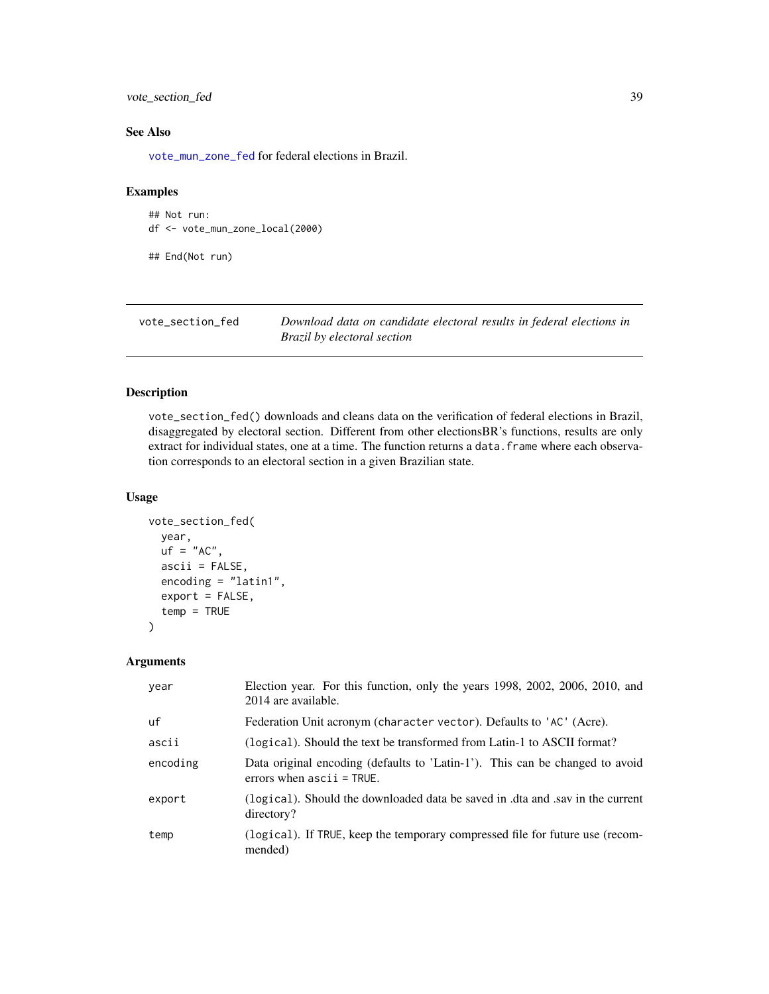## <span id="page-38-0"></span>vote\_section\_fed 39

## See Also

[vote\\_mun\\_zone\\_fed](#page-34-1) for federal elections in Brazil.

#### Examples

## Not run: df <- vote\_mun\_zone\_local(2000)

## End(Not run)

<span id="page-38-1"></span>

| vote_section_fed | Download data on candidate electoral results in federal elections in |
|------------------|----------------------------------------------------------------------|
|                  | Brazil by electoral section                                          |

## Description

vote\_section\_fed() downloads and cleans data on the verification of federal elections in Brazil, disaggregated by electoral section. Different from other electionsBR's functions, results are only extract for individual states, one at a time. The function returns a data. frame where each observation corresponds to an electoral section in a given Brazilian state.

## Usage

```
vote_section_fed(
  year,
  uf = "AC",ascii = FALSE,
  encoding = "latin1",
  export = FALSE,temp = TRUE
)
```
#### Arguments

| year     | Election year. For this function, only the years 1998, 2002, 2006, 2010, and<br>2014 are available.          |
|----------|--------------------------------------------------------------------------------------------------------------|
| uf       | Federation Unit acronym (character vector). Defaults to 'AC' (Acre).                                         |
| ascii    | (logical). Should the text be transformed from Latin-1 to ASCII format?                                      |
| encoding | Data original encoding (defaults to 'Latin-1'). This can be changed to avoid<br>errors when $ascii = TRUE$ . |
| export   | (logical). Should the downloaded data be saved in .dta and .sav in the current<br>directory?                 |
| temp     | (logical). If TRUE, keep the temporary compressed file for future use (recom-<br>mended)                     |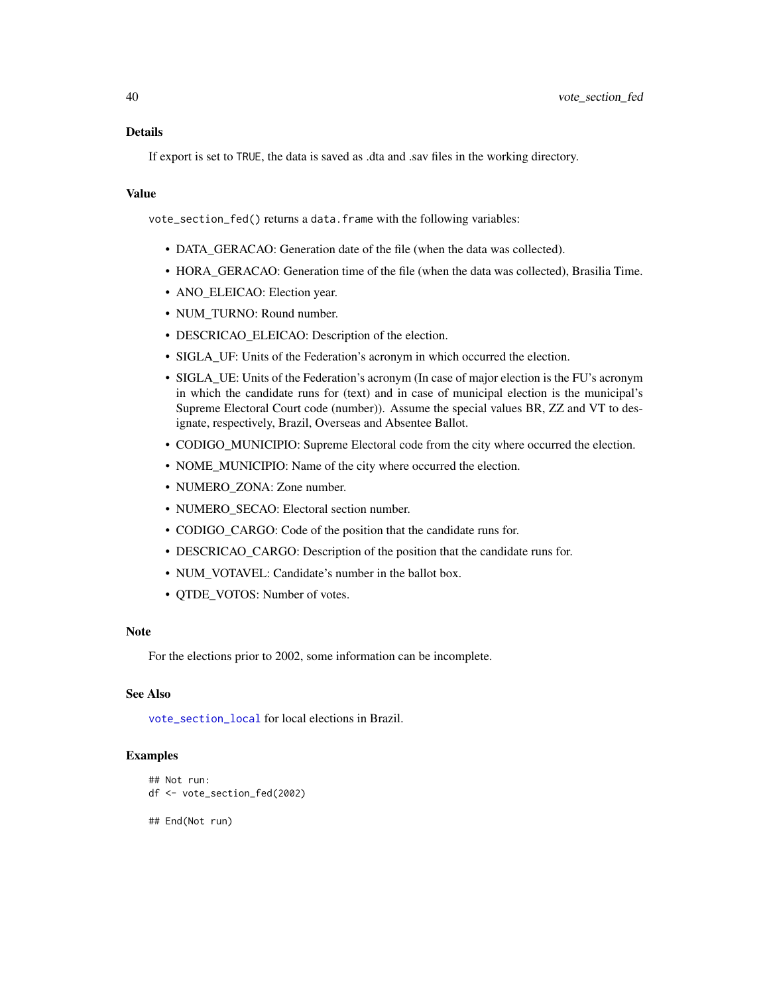## <span id="page-39-0"></span>Details

If export is set to TRUE, the data is saved as .dta and .sav files in the working directory.

## Value

vote\_section\_fed() returns a data.frame with the following variables:

- DATA\_GERACAO: Generation date of the file (when the data was collected).
- HORA GERACAO: Generation time of the file (when the data was collected), Brasilia Time.
- ANO\_ELEICAO: Election year.
- NUM\_TURNO: Round number.
- DESCRICAO\_ELEICAO: Description of the election.
- SIGLA\_UF: Units of the Federation's acronym in which occurred the election.
- SIGLA\_UE: Units of the Federation's acronym (In case of major election is the FU's acronym in which the candidate runs for (text) and in case of municipal election is the municipal's Supreme Electoral Court code (number)). Assume the special values BR, ZZ and VT to designate, respectively, Brazil, Overseas and Absentee Ballot.
- CODIGO\_MUNICIPIO: Supreme Electoral code from the city where occurred the election.
- NOME\_MUNICIPIO: Name of the city where occurred the election.
- NUMERO ZONA: Zone number.
- NUMERO\_SECAO: Electoral section number.
- CODIGO\_CARGO: Code of the position that the candidate runs for.
- DESCRICAO\_CARGO: Description of the position that the candidate runs for.
- NUM\_VOTAVEL: Candidate's number in the ballot box.
- QTDE\_VOTOS: Number of votes.

#### **Note**

For the elections prior to 2002, some information can be incomplete.

### See Also

[vote\\_section\\_local](#page-40-1) for local elections in Brazil.

### Examples

```
## Not run:
df <- vote_section_fed(2002)
```
## End(Not run)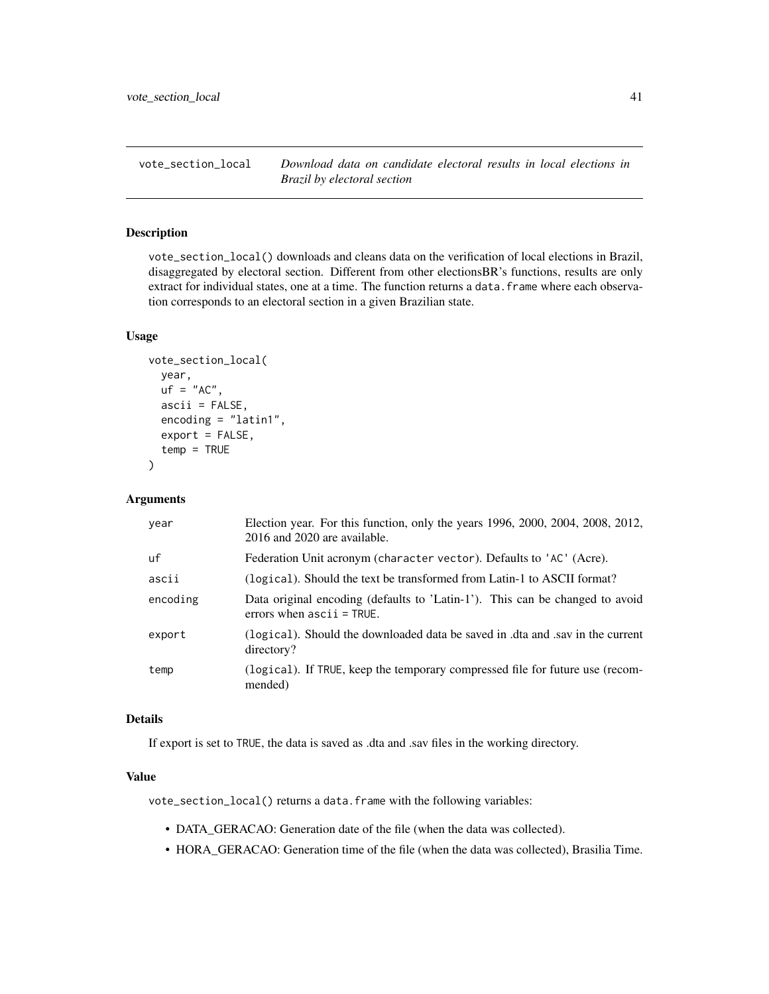<span id="page-40-1"></span><span id="page-40-0"></span>vote\_section\_local *Download data on candidate electoral results in local elections in Brazil by electoral section*

#### Description

vote\_section\_local() downloads and cleans data on the verification of local elections in Brazil, disaggregated by electoral section. Different from other electionsBR's functions, results are only extract for individual states, one at a time. The function returns a data. frame where each observation corresponds to an electoral section in a given Brazilian state.

#### Usage

```
vote_section_local(
  year,
  uf = "AC".ascii = FALSE,
  encoding = "latin1",
  export = FALSE,
  temp = TRUE
)
```
#### Arguments

| year     | Election year. For this function, only the years 1996, 2000, 2004, 2008, 2012,<br>2016 and 2020 are available. |
|----------|----------------------------------------------------------------------------------------------------------------|
| uf       | Federation Unit acronym (character vector). Defaults to 'AC' (Acre).                                           |
| ascii    | (logical). Should the text be transformed from Latin-1 to ASCII format?                                        |
| encoding | Data original encoding (defaults to 'Latin-1'). This can be changed to avoid<br>errors when $ascii = TRUE$ .   |
| export   | (logical). Should the downloaded data be saved in .dta and .sav in the current<br>directory?                   |
| temp     | (logical). If TRUE, keep the temporary compressed file for future use (recom-<br>mended)                       |

## Details

If export is set to TRUE, the data is saved as .dta and .sav files in the working directory.

## Value

vote\_section\_local() returns a data.frame with the following variables:

- DATA\_GERACAO: Generation date of the file (when the data was collected).
- HORA\_GERACAO: Generation time of the file (when the data was collected), Brasilia Time.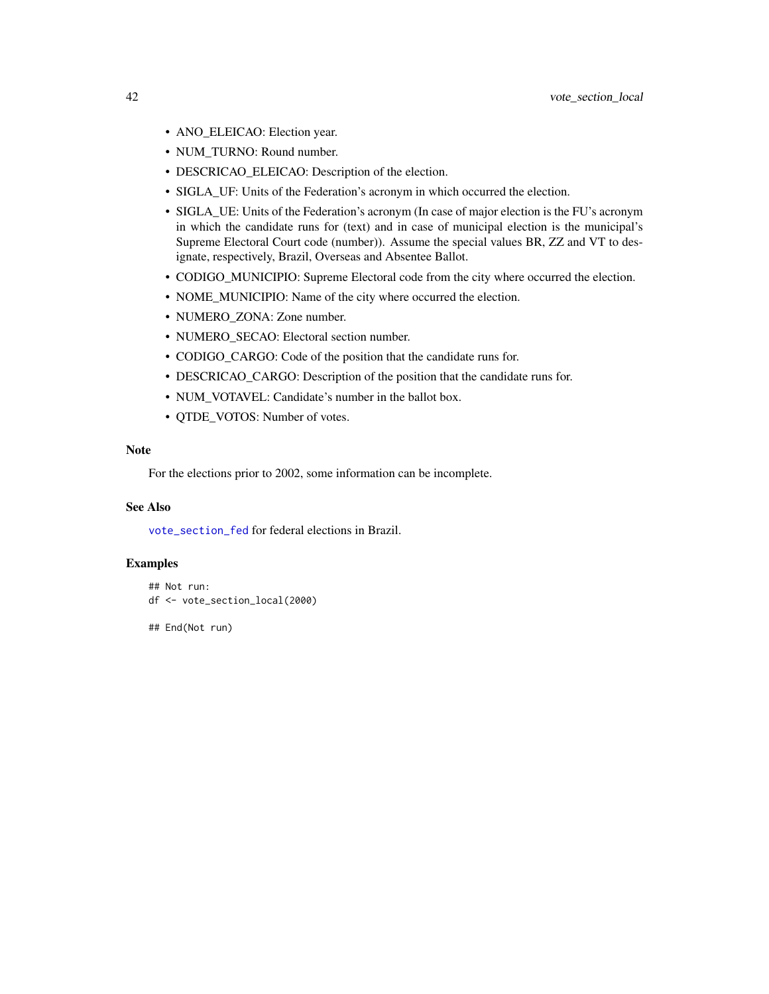- <span id="page-41-0"></span>• ANO\_ELEICAO: Election year.
- NUM\_TURNO: Round number.
- DESCRICAO\_ELEICAO: Description of the election.
- SIGLA\_UF: Units of the Federation's acronym in which occurred the election.
- SIGLA\_UE: Units of the Federation's acronym (In case of major election is the FU's acronym in which the candidate runs for (text) and in case of municipal election is the municipal's Supreme Electoral Court code (number)). Assume the special values BR, ZZ and VT to designate, respectively, Brazil, Overseas and Absentee Ballot.
- CODIGO\_MUNICIPIO: Supreme Electoral code from the city where occurred the election.
- NOME\_MUNICIPIO: Name of the city where occurred the election.
- NUMERO\_ZONA: Zone number.
- NUMERO\_SECAO: Electoral section number.
- CODIGO\_CARGO: Code of the position that the candidate runs for.
- DESCRICAO\_CARGO: Description of the position that the candidate runs for.
- NUM\_VOTAVEL: Candidate's number in the ballot box.
- QTDE\_VOTOS: Number of votes.

For the elections prior to 2002, some information can be incomplete.

#### See Also

[vote\\_section\\_fed](#page-38-1) for federal elections in Brazil.

## Examples

```
## Not run:
df <- vote_section_local(2000)
```
## End(Not run)